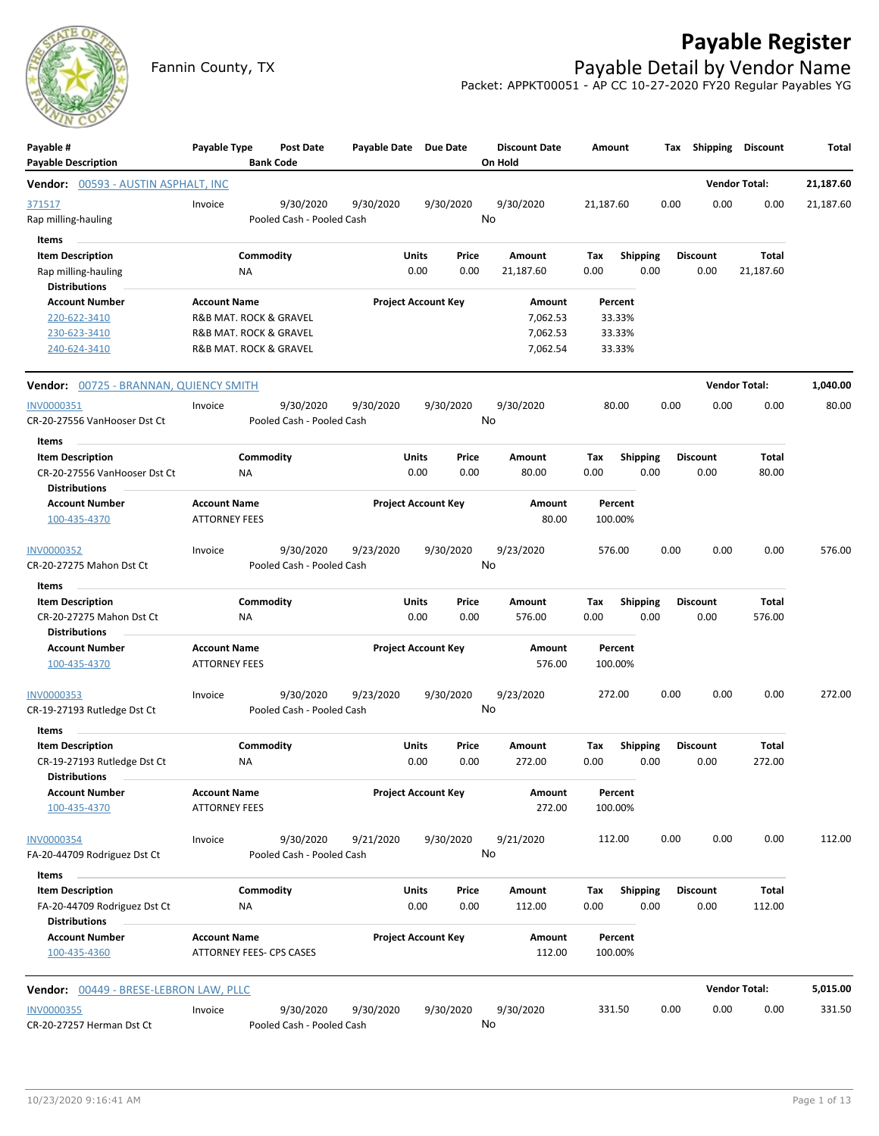

## **Payable Register**

Fannin County, TX **Payable Detail by Vendor Name** Packet: APPKT00051 - AP CC 10-27-2020 FY20 Regular Payables YG

| Payable #<br><b>Payable Description</b>                                 | Payable Type                                | Post Date<br><b>Bank Code</b>          | Payable Date Due Date      |               |                 | <b>Discount Date</b><br>On Hold | Amount      |                         |      | Tax Shipping Discount   |                      | Total     |
|-------------------------------------------------------------------------|---------------------------------------------|----------------------------------------|----------------------------|---------------|-----------------|---------------------------------|-------------|-------------------------|------|-------------------------|----------------------|-----------|
| <b>Vendor:</b> 00593 - AUSTIN ASPHALT, INC                              |                                             |                                        |                            |               |                 |                                 |             |                         |      |                         | <b>Vendor Total:</b> | 21,187.60 |
| 371517<br>Rap milling-hauling                                           | Invoice                                     | 9/30/2020<br>Pooled Cash - Pooled Cash | 9/30/2020                  |               | 9/30/2020<br>No | 9/30/2020                       | 21,187.60   |                         | 0.00 | 0.00                    | 0.00                 | 21,187.60 |
| Items                                                                   |                                             |                                        |                            |               |                 |                                 |             |                         |      |                         |                      |           |
| <b>Item Description</b><br>Rap milling-hauling<br><b>Distributions</b>  | ΝA                                          | Commodity                              |                            | Units<br>0.00 | Price<br>0.00   | Amount<br>21,187.60             | Tax<br>0.00 | <b>Shipping</b><br>0.00 |      | <b>Discount</b><br>0.00 | Total<br>21,187.60   |           |
| <b>Account Number</b>                                                   | <b>Account Name</b>                         |                                        | <b>Project Account Key</b> |               |                 | Amount                          |             | Percent                 |      |                         |                      |           |
| 220-622-3410                                                            | R&B MAT. ROCK & GRAVEL                      |                                        |                            |               |                 | 7,062.53                        |             | 33.33%                  |      |                         |                      |           |
| 230-623-3410                                                            | R&B MAT. ROCK & GRAVEL                      |                                        |                            |               |                 | 7,062.53                        |             | 33.33%                  |      |                         |                      |           |
| 240-624-3410                                                            | R&B MAT. ROCK & GRAVEL                      |                                        |                            |               |                 | 7,062.54                        |             | 33.33%                  |      |                         |                      |           |
| Vendor: 00725 - BRANNAN, QUIENCY SMITH                                  |                                             |                                        |                            |               |                 |                                 |             |                         |      |                         | <b>Vendor Total:</b> | 1,040.00  |
| INV0000351                                                              | Invoice                                     | 9/30/2020                              | 9/30/2020                  |               | 9/30/2020       | 9/30/2020                       |             | 80.00                   | 0.00 | 0.00                    | 0.00                 | 80.00     |
| CR-20-27556 VanHooser Dst Ct                                            |                                             | Pooled Cash - Pooled Cash              |                            |               | No              |                                 |             |                         |      |                         |                      |           |
| Items                                                                   |                                             |                                        |                            |               |                 |                                 |             |                         |      |                         |                      |           |
| <b>Item Description</b><br>CR-20-27556 VanHooser Dst Ct                 | NA                                          | Commodity                              |                            | Units<br>0.00 | Price<br>0.00   | Amount<br>80.00                 | Tax<br>0.00 | <b>Shipping</b><br>0.00 |      | <b>Discount</b><br>0.00 | Total<br>80.00       |           |
| <b>Distributions</b>                                                    |                                             |                                        |                            |               |                 |                                 |             |                         |      |                         |                      |           |
| <b>Account Number</b><br>100-435-4370                                   | <b>Account Name</b><br><b>ATTORNEY FEES</b> |                                        | <b>Project Account Key</b> |               |                 | Amount<br>80.00                 | 100.00%     | Percent                 |      |                         |                      |           |
| <b>INV0000352</b><br>CR-20-27275 Mahon Dst Ct                           | Invoice                                     | 9/30/2020<br>Pooled Cash - Pooled Cash | 9/23/2020                  |               | 9/30/2020<br>No | 9/23/2020                       | 576.00      |                         | 0.00 | 0.00                    | 0.00                 | 576.00    |
|                                                                         |                                             |                                        |                            |               |                 |                                 |             |                         |      |                         |                      |           |
| Items<br><b>Item Description</b>                                        |                                             | Commodity                              |                            | Units         | Price           | Amount                          | Tax         | <b>Shipping</b>         |      | Discount                | Total                |           |
| CR-20-27275 Mahon Dst Ct                                                | NA                                          |                                        |                            | 0.00          | 0.00            | 576.00                          | 0.00        | 0.00                    |      | 0.00                    | 576.00               |           |
| <b>Distributions</b>                                                    |                                             |                                        |                            |               |                 |                                 |             |                         |      |                         |                      |           |
| <b>Account Number</b><br>100-435-4370                                   | <b>Account Name</b><br><b>ATTORNEY FEES</b> |                                        | <b>Project Account Key</b> |               |                 | Amount<br>576.00                |             | Percent<br>100.00%      |      |                         |                      |           |
| <b>INV0000353</b>                                                       | Invoice                                     | 9/30/2020                              | 9/23/2020                  |               | 9/30/2020       | 9/23/2020                       | 272.00      |                         | 0.00 | 0.00                    | 0.00                 | 272.00    |
| CR-19-27193 Rutledge Dst Ct                                             |                                             | Pooled Cash - Pooled Cash              |                            |               | No              |                                 |             |                         |      |                         |                      |           |
| Items                                                                   |                                             |                                        |                            |               |                 |                                 |             |                         |      |                         |                      |           |
| <b>Item Description</b><br>CR-19-27193 Rutledge Dst Ct<br>Distributions | ΝA                                          | Commodity                              |                            | Units<br>0.00 | Price<br>0.00   | Amount<br>272.00                | Tax<br>0.00 | <b>Shipping</b><br>0.00 |      | <b>Discount</b><br>0.00 | Total<br>272.00      |           |
| <b>Account Number</b><br>100-435-4370                                   | <b>Account Name</b><br><b>ATTORNEY FEES</b> |                                        | <b>Project Account Key</b> |               |                 | Amount<br>272.00                | 100.00%     | Percent                 |      |                         |                      |           |
| <b>INV0000354</b>                                                       | Invoice                                     | 9/30/2020                              | 9/21/2020                  |               | 9/30/2020       | 9/21/2020                       | 112.00      |                         | 0.00 | 0.00                    | 0.00                 | 112.00    |
| FA-20-44709 Rodriguez Dst Ct                                            |                                             | Pooled Cash - Pooled Cash              |                            |               | No              |                                 |             |                         |      |                         |                      |           |
| Items                                                                   |                                             |                                        |                            |               |                 |                                 |             |                         |      |                         |                      |           |
| <b>Item Description</b>                                                 |                                             | Commodity                              |                            | Units         | Price           | Amount                          | Tax         | <b>Shipping</b>         |      | <b>Discount</b>         | Total                |           |
| FA-20-44709 Rodriguez Dst Ct<br><b>Distributions</b>                    | ΝA                                          |                                        |                            | 0.00          | 0.00            | 112.00                          | 0.00        | 0.00                    |      | 0.00                    | 112.00               |           |
| <b>Account Number</b>                                                   | <b>Account Name</b>                         |                                        | <b>Project Account Key</b> |               |                 | Amount                          |             | Percent                 |      |                         |                      |           |
| 100-435-4360                                                            | ATTORNEY FEES- CPS CASES                    |                                        |                            |               |                 | 112.00                          | 100.00%     |                         |      |                         |                      |           |
| <b>Vendor:</b> 00449 - BRESE-LEBRON LAW, PLLC                           |                                             |                                        |                            |               |                 |                                 |             |                         |      |                         | <b>Vendor Total:</b> | 5,015.00  |
| <b>INV0000355</b>                                                       | Invoice                                     | 9/30/2020                              | 9/30/2020                  |               | 9/30/2020       | 9/30/2020                       | 331.50      |                         | 0.00 | 0.00                    | 0.00                 | 331.50    |
| CR-20-27257 Herman Dst Ct                                               |                                             | Pooled Cash - Pooled Cash              |                            |               | No              |                                 |             |                         |      |                         |                      |           |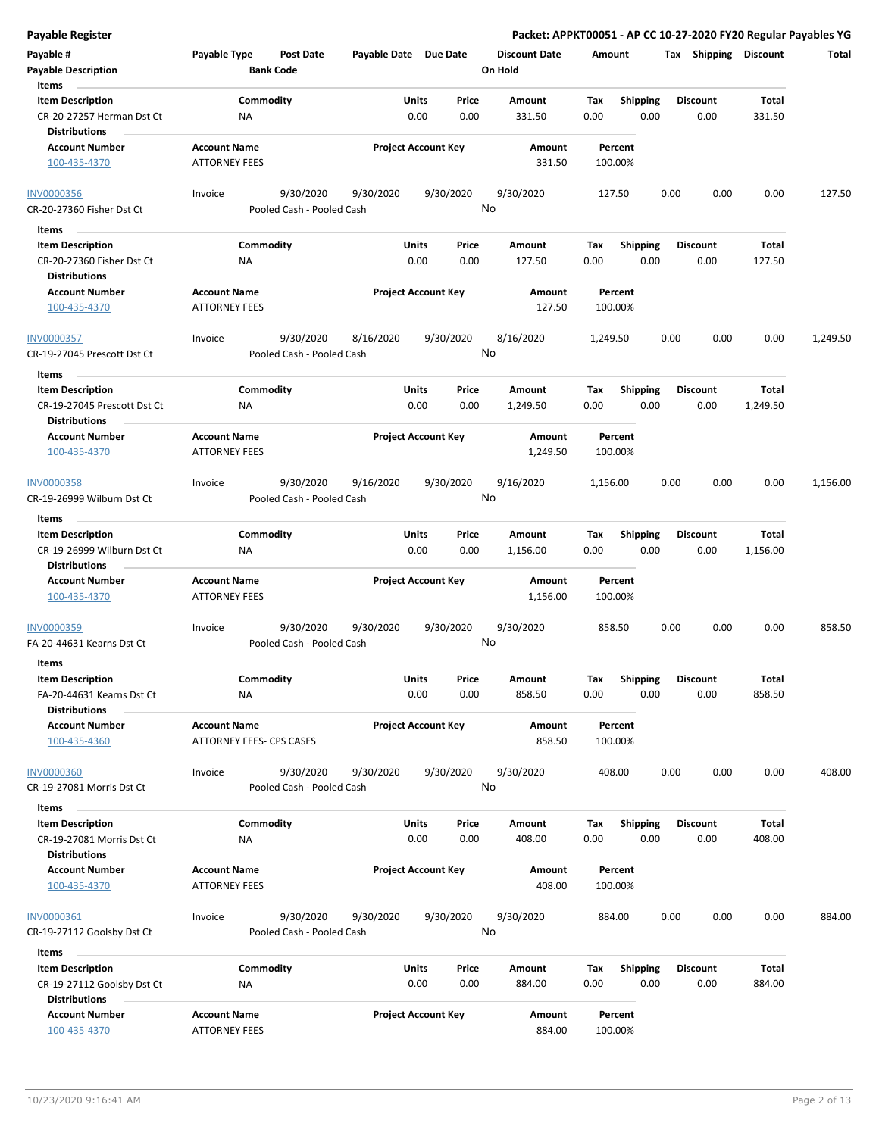**Payable # Payable Type Post Date Payable Date Due Date Payable Description Bank Code Discount Date Amount Tax Shipping Discount Total On Hold** 0.00 0.00 **Units** CR-20-27257 Herman Dst Ct 0.00 **Item Description** 331.50 **Price Amount Tax** 0.00 331.50 Commodity **Shipping Shipping Commodity Shipping Discount** Total NA **Items** 0.00 **Discount Account Number Account Name Project Account Key Amount Distributions Percent** 100-435-4370 ATTORNEY FEES 331.50 100.00% 9/30/2020 9/30/2020 9/30/2020 CR-20-27360 Fisher Dst Ct Pooled Cash - Pooled Cash INV0000356 Invoice 9/30/2020 127.50 0.00 0.00 0.00 127.50 No 0.00 0.00 **Units** CR-20-27360 Fisher Dst Ct MA NA NA 0.00 0.00 127.50 0.00 **Item Description** 127.50 **Price Amount Tax** 0.00 127.50 Commodity **Shipping Shipping Commodity Shipping Discount** Total NA **Items** 0.00 **Discount Account Number Account Name Project Account Key Amount Distributions Percent** 100-435-4370 **ATTORNEY FEES** 127.50 **100.00%** 9/30/2020 8/16/2020 9/30/2020 CR-19-27045 Prescott Dst Ct Pooled Cash - Pooled Cash INV0000357 Invoice 8/16/2020 1,249.50 0.00 0.00 0.00 1,249.50 No 0.00 0.00 **Units** CR-19-27045 Prescott Dst Ct 0.00 **Item Description** 1,249.50 **Price Amount Tax** 0.00 1,249.50 Commodity **Shipping Example 1 Commodity Shipping Discount** Total NA **Items** 0.00 **Discount Account Number Account Name Project Account Key Amount Distributions Percent** 100-435-4370 **ATTORNEY FEES 1,249.50 100.00%** 9/30/2020 9/16/2020 9/30/2020 CR-19-26999 Wilburn Dst Ct Pooled Cash - Pooled Cash INV0000358 Invoice 9/16/2020 1,156.00 0.00 0.00 0.00 1,156.00 No 0.00 0.00 **Units** CR-19-26999 Wilburn Dst Ct 0.00 **Item Description** 1,156.00 **Price Amount Tax** 0.00 1,156.00 **Commodity Shipping Total** NA **Items** 0.00 **Discount Account Number Account Name Project Account Key Amount Distributions Percent**  $100-435-4370$  ATTORNEY FEES 2,1156.00 100.00% 9/30/2020 9/30/2020 9/30/2020 FA-20-44631 Kearns Dst Ct Pooled Cash - Pooled Cash INV0000359 Invoice 9/30/2020 858.50 0.00 0.00 0.00 858.50 No 0.00 0.00 **Units** FA-20-44631 Kearns Dst Ct 0.00 **Item Description** 858.50 **Price Amount Tax** 0.00 858.50 **Commodity Shipping Total** NA **Items** 0.00 **Discount Account Number Account Name Project Account Key Amount Distributions Percent** 100-435-4360 ATTORNEY FEES- CPS CASES 858.50 100.00% 9/30/2020 9/30/2020 9/30/2020 CR-19-27081 Morris Dst Ct Pooled Cash - Pooled Cash INV0000360 Invoice 9/30/2020 408.00 0.00 0.00 0.00 408.00 No 0.00 0.00 **Units** CR-19-27081 Morris Dst Ct 0.00 **Item Description** 408.00 **Price Amount Tax** 0.00 408.00 Commodity **Shipping Shipping Commodity Shipping Discount** Total NA **Items** 0.00 **Discount Account Number Account Name Project Account Key Amount Distributions Percent** 100-435-4370 ATTORNEY FEES 408.00 100.00% 9/30/2020 9/30/2020 9/30/2020 CR-19-27112 Goolsby Dst Ct Pooled Cash - Pooled Cash INV0000361 Invoice 9/30/2020 884.00 0.00 0.00 0.00 884.00 No 0.00 0.00 **Units** CR-19-27112 Goolsby Dst Ct MA NA 2000 0.00 0.00 884.00 0.00 **Item Description** 884.00 **Price Amount Tax** 0.00 884.00 Commodity **Shipping Shipping Commodity Shipping Discount** Total NA **Items** 0.00 **Discount Account Number Account Name Project Account Key Amount Distributions Percent**

100-435-4370 ATTORNEY FEES 884.00 100.00%

**Payable Register Packet: APPKT00051 - AP CC 10-27-2020 FY20 Regular Payables YG**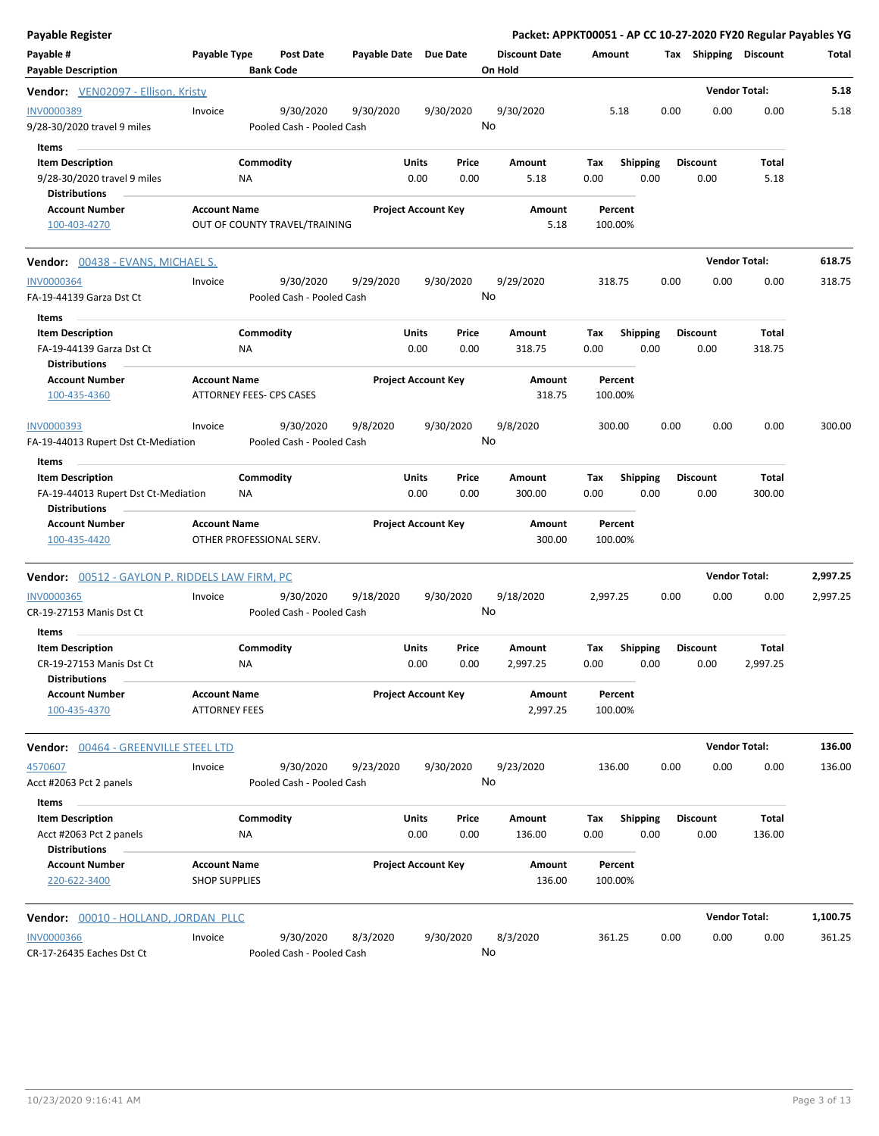| <b>Payable Register</b>                                                                 |                                             |                                        |                       |                                       |                                 |                    |                         | Packet: APPKT00051 - AP CC 10-27-2020 FY20 Regular Payables YG |                          |          |
|-----------------------------------------------------------------------------------------|---------------------------------------------|----------------------------------------|-----------------------|---------------------------------------|---------------------------------|--------------------|-------------------------|----------------------------------------------------------------|--------------------------|----------|
| Payable #<br><b>Payable Description</b>                                                 | Payable Type                                | Post Date<br><b>Bank Code</b>          | Payable Date Due Date |                                       | <b>Discount Date</b><br>On Hold | Amount             |                         | Tax Shipping Discount                                          |                          | Total    |
| Vendor: VEN02097 - Ellison, Kristy                                                      |                                             |                                        |                       |                                       |                                 |                    |                         |                                                                | <b>Vendor Total:</b>     | 5.18     |
| INV0000389<br>9/28-30/2020 travel 9 miles                                               | Invoice                                     | 9/30/2020<br>Pooled Cash - Pooled Cash | 9/30/2020             | 9/30/2020                             | 9/30/2020<br>No                 | 5.18               | 0.00                    | 0.00                                                           | 0.00                     | 5.18     |
| Items<br><b>Item Description</b><br>9/28-30/2020 travel 9 miles<br><b>Distributions</b> |                                             | Commodity<br>NA                        | Units                 | Price<br>0.00<br>0.00                 | Amount<br>5.18                  | Tax<br>0.00        | <b>Shipping</b><br>0.00 | <b>Discount</b><br>0.00                                        | Total<br>5.18            |          |
| <b>Account Number</b><br>100-403-4270                                                   | <b>Account Name</b>                         | OUT OF COUNTY TRAVEL/TRAINING          |                       | <b>Project Account Key</b>            | <b>Amount</b><br>5.18           | Percent<br>100.00% |                         |                                                                |                          |          |
| <b>Vendor:</b> 00438 - EVANS, MICHAEL S.                                                |                                             |                                        |                       |                                       |                                 |                    |                         |                                                                | <b>Vendor Total:</b>     | 618.75   |
| <b>INV0000364</b><br>FA-19-44139 Garza Dst Ct                                           | Invoice                                     | 9/30/2020<br>Pooled Cash - Pooled Cash | 9/29/2020             | 9/30/2020                             | 9/29/2020<br>No                 | 318.75             | 0.00                    | 0.00                                                           | 0.00                     | 318.75   |
| Items<br><b>Item Description</b><br>FA-19-44139 Garza Dst Ct                            |                                             | Commodity<br>NA                        | Units                 | Price<br>0.00<br>0.00                 | Amount<br>318.75                | Tax<br>0.00        | <b>Shipping</b><br>0.00 | <b>Discount</b><br>0.00                                        | Total<br>318.75          |          |
| <b>Distributions</b><br><b>Account Number</b><br>100-435-4360                           | <b>Account Name</b>                         | ATTORNEY FEES- CPS CASES               |                       | <b>Project Account Key</b>            | Amount<br>318.75                | Percent<br>100.00% |                         |                                                                |                          |          |
| <b>INV0000393</b><br>FA-19-44013 Rupert Dst Ct-Mediation<br>Items                       | Invoice                                     | 9/30/2020<br>Pooled Cash - Pooled Cash | 9/8/2020              | 9/30/2020                             | 9/8/2020<br>No                  | 300.00             | 0.00                    | 0.00                                                           | 0.00                     | 300.00   |
| <b>Item Description</b><br>FA-19-44013 Rupert Dst Ct-Mediation<br><b>Distributions</b>  | ΝA                                          | Commodity                              | Units                 | Price<br>0.00<br>0.00                 | Amount<br>300.00                | Tax<br>0.00        | <b>Shipping</b><br>0.00 | <b>Discount</b><br>0.00                                        | Total<br>300.00          |          |
| <b>Account Number</b><br>100-435-4420                                                   | <b>Account Name</b>                         | OTHER PROFESSIONAL SERV.               |                       | <b>Project Account Key</b>            | Amount<br>300.00                | Percent<br>100.00% |                         |                                                                |                          |          |
| Vendor: 00512 - GAYLON P. RIDDELS LAW FIRM, PC                                          |                                             |                                        |                       |                                       |                                 |                    |                         |                                                                | <b>Vendor Total:</b>     | 2,997.25 |
| <b>INV0000365</b><br>CR-19-27153 Manis Dst Ct                                           | Invoice                                     | 9/30/2020<br>Pooled Cash - Pooled Cash | 9/18/2020             | 9/30/2020                             | 9/18/2020<br>No                 | 2,997.25           | 0.00                    | 0.00                                                           | 0.00                     | 2,997.25 |
| Items<br><b>Item Description</b><br>CR-19-27153 Manis Dst Ct<br><b>Distributions</b>    | ΝA                                          | Commodity                              |                       | <b>Units</b><br>Price<br>0.00<br>0.00 | Amount<br>2,997.25              | Tax<br>0.00        | <b>Shipping</b><br>0.00 | <b>Discount</b><br>0.00                                        | <b>Total</b><br>2,997.25 |          |
| <b>Account Number</b><br>100-435-4370                                                   | <b>Account Name</b><br><b>ATTORNEY FEES</b> |                                        |                       | <b>Project Account Key</b>            | Amount<br>2,997.25              | Percent<br>100.00% |                         |                                                                |                          |          |
| <b>Vendor: 00464 - GREENVILLE STEEL LTD</b>                                             |                                             |                                        |                       |                                       |                                 |                    |                         |                                                                | <b>Vendor Total:</b>     | 136.00   |
| 4570607<br>Acct #2063 Pct 2 panels                                                      | Invoice                                     | 9/30/2020<br>Pooled Cash - Pooled Cash | 9/23/2020             | 9/30/2020                             | 9/23/2020<br>No                 | 136.00             | 0.00                    | 0.00                                                           | 0.00                     | 136.00   |
| Items<br><b>Item Description</b><br>Acct #2063 Pct 2 panels<br><b>Distributions</b>     | NA                                          | Commodity                              | Units                 | Price<br>0.00<br>0.00                 | Amount<br>136.00                | Tax<br>0.00        | <b>Shipping</b><br>0.00 | <b>Discount</b><br>0.00                                        | <b>Total</b><br>136.00   |          |
| <b>Account Number</b><br>220-622-3400                                                   | <b>Account Name</b><br><b>SHOP SUPPLIES</b> |                                        |                       | <b>Project Account Key</b>            | Amount<br>136.00                | Percent<br>100.00% |                         |                                                                |                          |          |
| Vendor: 00010 - HOLLAND, JORDAN PLLC                                                    |                                             |                                        |                       |                                       |                                 |                    |                         |                                                                | <b>Vendor Total:</b>     | 1,100.75 |
| <b>INV0000366</b><br>CR-17-26435 Eaches Dst Ct                                          | Invoice                                     | 9/30/2020<br>Pooled Cash - Pooled Cash | 8/3/2020              | 9/30/2020                             | 8/3/2020<br>No                  | 361.25             | 0.00                    | 0.00                                                           | 0.00                     | 361.25   |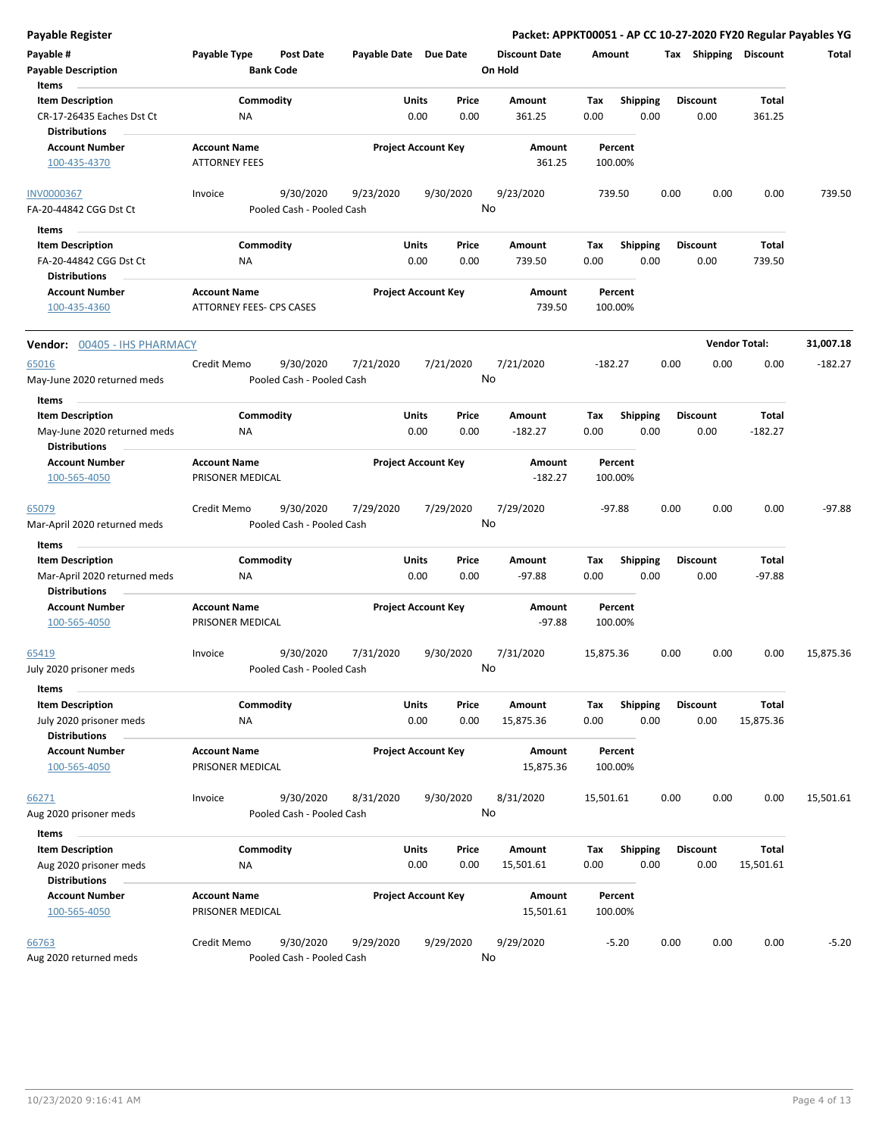| <b>Payable Register</b>                                                               |                                                 |                                        |                       |                            |                                 |                    |                         | Packet: APPKT00051 - AP CC 10-27-2020 FY20 Regular Payables YG |                      |           |
|---------------------------------------------------------------------------------------|-------------------------------------------------|----------------------------------------|-----------------------|----------------------------|---------------------------------|--------------------|-------------------------|----------------------------------------------------------------|----------------------|-----------|
| Payable #<br><b>Payable Description</b>                                               | Payable Type                                    | <b>Post Date</b><br><b>Bank Code</b>   | Payable Date Due Date |                            | <b>Discount Date</b><br>On Hold | Amount             |                         | Tax Shipping Discount                                          |                      | Total     |
| Items<br><b>Item Description</b><br>CR-17-26435 Eaches Dst Ct<br><b>Distributions</b> | Commodity<br>ΝA                                 |                                        | <b>Units</b>          | Price<br>0.00<br>0.00      | Amount<br>361.25                | Tax<br>0.00        | <b>Shipping</b><br>0.00 | <b>Discount</b><br>0.00                                        | Total<br>361.25      |           |
| <b>Account Number</b><br>100-435-4370                                                 | <b>Account Name</b><br><b>ATTORNEY FEES</b>     |                                        |                       | <b>Project Account Key</b> | Amount<br>361.25                | Percent<br>100.00% |                         |                                                                |                      |           |
| <b>INV0000367</b><br>FA-20-44842 CGG Dst Ct                                           | Invoice                                         | 9/30/2020<br>Pooled Cash - Pooled Cash | 9/23/2020             | 9/30/2020                  | 9/23/2020<br>No                 | 739.50             |                         | 0.00<br>0.00                                                   | 0.00                 | 739.50    |
| Items                                                                                 |                                                 |                                        |                       |                            |                                 |                    |                         |                                                                |                      |           |
| <b>Item Description</b><br>FA-20-44842 CGG Dst Ct<br><b>Distributions</b>             | Commodity<br><b>NA</b>                          |                                        | <b>Units</b>          | Price<br>0.00<br>0.00      | Amount<br>739.50                | Tax<br>0.00        | <b>Shipping</b><br>0.00 | <b>Discount</b><br>0.00                                        | Total<br>739.50      |           |
| <b>Account Number</b><br>100-435-4360                                                 | <b>Account Name</b><br>ATTORNEY FEES- CPS CASES |                                        |                       | <b>Project Account Key</b> | Amount<br>739.50                | Percent<br>100.00% |                         |                                                                |                      |           |
| Vendor: 00405 - IHS PHARMACY                                                          |                                                 |                                        |                       |                            |                                 |                    |                         |                                                                | <b>Vendor Total:</b> | 31,007.18 |
| 65016<br>May-June 2020 returned meds                                                  | Credit Memo                                     | 9/30/2020<br>Pooled Cash - Pooled Cash | 7/21/2020             | 7/21/2020                  | 7/21/2020<br>No                 | $-182.27$          |                         | 0.00<br>0.00                                                   | 0.00                 | $-182.27$ |
| Items<br><b>Item Description</b>                                                      | Commodity                                       |                                        | <b>Units</b>          | Price                      | Amount                          | Tax                | <b>Shipping</b>         | <b>Discount</b>                                                | Total                |           |
| May-June 2020 returned meds<br><b>Distributions</b>                                   | ΝA                                              |                                        |                       | 0.00<br>0.00               | $-182.27$                       | 0.00               | 0.00                    | 0.00                                                           | $-182.27$            |           |
| <b>Account Number</b><br>100-565-4050                                                 | <b>Account Name</b><br>PRISONER MEDICAL         |                                        |                       | <b>Project Account Key</b> | Amount<br>$-182.27$             | Percent<br>100.00% |                         |                                                                |                      |           |
| 65079<br>Mar-April 2020 returned meds                                                 | Credit Memo                                     | 9/30/2020<br>Pooled Cash - Pooled Cash | 7/29/2020             | 7/29/2020                  | 7/29/2020<br>No                 | $-97.88$           |                         | 0.00<br>0.00                                                   | 0.00                 | $-97.88$  |
| Items                                                                                 |                                                 |                                        |                       |                            |                                 |                    |                         |                                                                |                      |           |
| <b>Item Description</b><br>Mar-April 2020 returned meds<br><b>Distributions</b>       | Commodity<br>ΝA                                 |                                        | <b>Units</b>          | Price<br>0.00<br>0.00      | Amount<br>$-97.88$              | Tax<br>0.00        | <b>Shipping</b><br>0.00 | <b>Discount</b><br>0.00                                        | Total<br>$-97.88$    |           |
| <b>Account Number</b><br>100-565-4050                                                 | <b>Account Name</b><br>PRISONER MEDICAL         |                                        |                       | <b>Project Account Key</b> | Amount<br>$-97.88$              | Percent<br>100.00% |                         |                                                                |                      |           |
| 65419<br>July 2020 prisoner meds                                                      | Invoice                                         | 9/30/2020<br>Pooled Cash - Pooled Cash | 7/31/2020             | 9/30/2020                  | 7/31/2020<br>No                 | 15,875.36          |                         | 0.00<br>0.00                                                   | 0.00                 | 15,875.36 |
| Items<br><b>Item Description</b><br>July 2020 prisoner meds                           | Commodity<br>NA                                 |                                        | <b>Units</b>          | Price<br>0.00<br>0.00      | Amount<br>15,875.36             | Tax<br>0.00        | <b>Shipping</b><br>0.00 | <b>Discount</b><br>0.00                                        | Total<br>15,875.36   |           |
| <b>Distributions</b><br><b>Account Number</b><br>100-565-4050                         | <b>Account Name</b><br>PRISONER MEDICAL         |                                        |                       | <b>Project Account Key</b> | Amount<br>15,875.36             | Percent<br>100.00% |                         |                                                                |                      |           |
| 66271<br>Aug 2020 prisoner meds                                                       | Invoice                                         | 9/30/2020<br>Pooled Cash - Pooled Cash | 8/31/2020             | 9/30/2020                  | 8/31/2020<br>No                 | 15,501.61          |                         | 0.00<br>0.00                                                   | 0.00                 | 15,501.61 |
| Items                                                                                 |                                                 |                                        |                       |                            |                                 |                    |                         |                                                                |                      |           |
| <b>Item Description</b>                                                               | Commodity<br><b>NA</b>                          |                                        | <b>Units</b>          | Price<br>0.00<br>0.00      | Amount                          | Tax                | Shipping<br>0.00        | <b>Discount</b>                                                | Total                |           |
| Aug 2020 prisoner meds<br><b>Distributions</b>                                        |                                                 |                                        |                       |                            | 15,501.61                       | 0.00               |                         | 0.00                                                           | 15,501.61            |           |
| <b>Account Number</b><br>100-565-4050                                                 | <b>Account Name</b><br>PRISONER MEDICAL         |                                        |                       | <b>Project Account Key</b> | Amount<br>15,501.61             | Percent<br>100.00% |                         |                                                                |                      |           |
| 66763<br>Aug 2020 returned meds                                                       | Credit Memo                                     | 9/30/2020<br>Pooled Cash - Pooled Cash | 9/29/2020             | 9/29/2020                  | 9/29/2020<br>No                 | $-5.20$            |                         | 0.00<br>0.00                                                   | 0.00                 | $-5.20$   |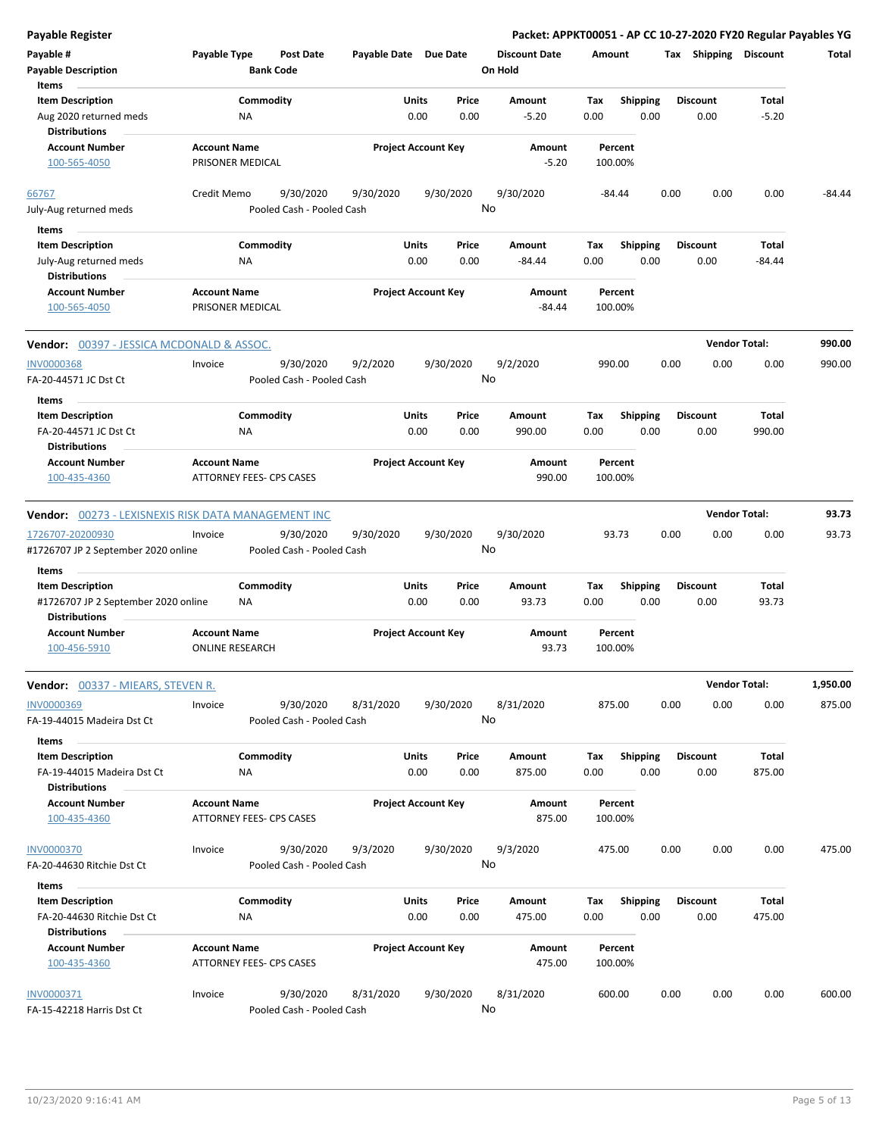**Payable # Payable Type Post Date Payable Date Due Date Payable Description Bank Code Discount Date Amount Tax Shipping Discount Total On Hold** 0.00 0.00 **Units** Aug 2020 returned meds **1.000 RM 1.000 RM 1.000 RM 1.000 COO 1.000 COO 1.000 COO 1.000** COO **Item Description** -5.20 **Price Amount Tax** 0.00 -5.20 Commodity **Shipping Shipping Commodity Shipping Discount** Total NA **Items** 0.00 **Discount Account Number Account Name Project Account Key Amount Distributions Percent** 100-565-4050 **PRISONER MEDICAL PROPER PRISONER MEDICAL -5.20** 100.00% 9/30/2020 9/30/2020 9/30/2020 July-Aug returned meds Pooled Cash - Pooled Cash 66767 Credit Memo 9/30/2020 -84.44 0.00 0.00 0.00 -84.44 No 0.00 0.00 **Units** July-Aug returned meds **NA** NA 0.00 0.00 0.00 -84.44 0.00 **Item Description** -84.44 **Price Amount Tax** 0.00 -84.44 Commodity **Shipping Shipping Commodity Shipping Discount** Total NA **Items** 0.00 **Discount Account Number Account Name Project Account Key Amount Distributions Percent** 100-565-4050 **PRISONER MEDICAL PRISONER MEDICAL** 400-565-4050 **-84.44 100.00% Vendor:** 00397 - JESSICA MCDONALD & ASSOC. **Vendor Total: 990.00** 9/30/2020 9/2/2020 9/30/2020 FA-20-44571 JC Dst Ct Pooled Cash - Pooled Cash - Pooled Cash INV0000368 Invoice 9/2/2020 990.00 0.00 0.00 0.00 990.00 No 0.00 0.00 **Units** FA-20-44571 JC Dst Ct NA 0.00 0.00 990.00 0.00 **Item Description** 990.00 **Price Amount Tax** 0.00 990.00 **Commodity Shipping Total** NA **Items** 0.00 **Discount Account Number Account Name Project Account Key Amount Distributions Percent** 100-435-4360 ATTORNEY FEES- CPS CASES 990.00 100.00% **Vendor:** 00273 - LEXISNEXIS RISK DATA MANAGEMENT INC **Vendor Total: 93.73** 9/30/2020 9/30/2020 9/30/2020 #1726707 JP 2 September 2020 online Pooled Cash - Pooled Cash 1726707-20200930 Invoice 9/30/2020 93.73 0.00 0.00 0.00 93.73 No 0.00 0.00 **Units** #1726707 JP 2 September 2020 online 0.00 **Item Description** 93.73 **Price Amount Tax** 0.00 93.73 **Commodity Shipping Total** NA **Items** 0.00 **Discount Account Number Account Name Project Account Key Amount Distributions Percent** 100-456-5910 ONLINE RESEARCH 93.73 100.00% **Vendor:** 00337 - MIEARS, STEVEN R. **Vendor Total: 1,950.00** 9/30/2020 8/31/2020 9/30/2020 FA-19-44015 Madeira Dst Ct Pooled Cash - Pooled Cash INV0000369 Invoice 8/31/2020 875.00 0.00 0.00 0.00 875.00 No 0.00 0.00 **Units** FA-19-44015 Madeira Dst Ct 0.00 **Item Description** 875.00 **Price Amount Tax** 0.00 875.00 **Commodity Shipping Total** NA **Items** 0.00 **Discount Account Number Account Name Project Account Key Amount Distributions Percent** 100-435-4360 ATTORNEY FEES- CPS CASES 875.00 100.00% 9/30/2020 9/3/2020 9/30/2020 FA-20-44630 Ritchie Dst Ct Pooled Cash - Pooled Cash INV0000370 Invoice 9/3/2020 475.00 0.00 0.00 0.00 475.00 No 0.00 0.00 **Units** FA-20-44630 Ritchie Dst Ct 0.00 **Item Description** 475.00 **Price Amount Tax** 0.00 475.00 Commodity **Shipping Shipping Commodity Shipping Discount** Total NA **Items** 0.00 **Discount Account Number Account Name Project Account Key Amount Distributions Percent**

**Payable Register Packet: APPKT00051 - AP CC 10-27-2020 FY20 Regular Payables YG**

9/30/2020 8/31/2020 9/30/2020 FA-15-42218 Harris Dst Ct Pooled Cash - Pooled Cash INV0000371 Invoice 8/31/2020 600.00 0.00 0.00 0.00 600.00 No

100-435-4360 ATTORNEY FEES- CPS CASES 475.00 100.00%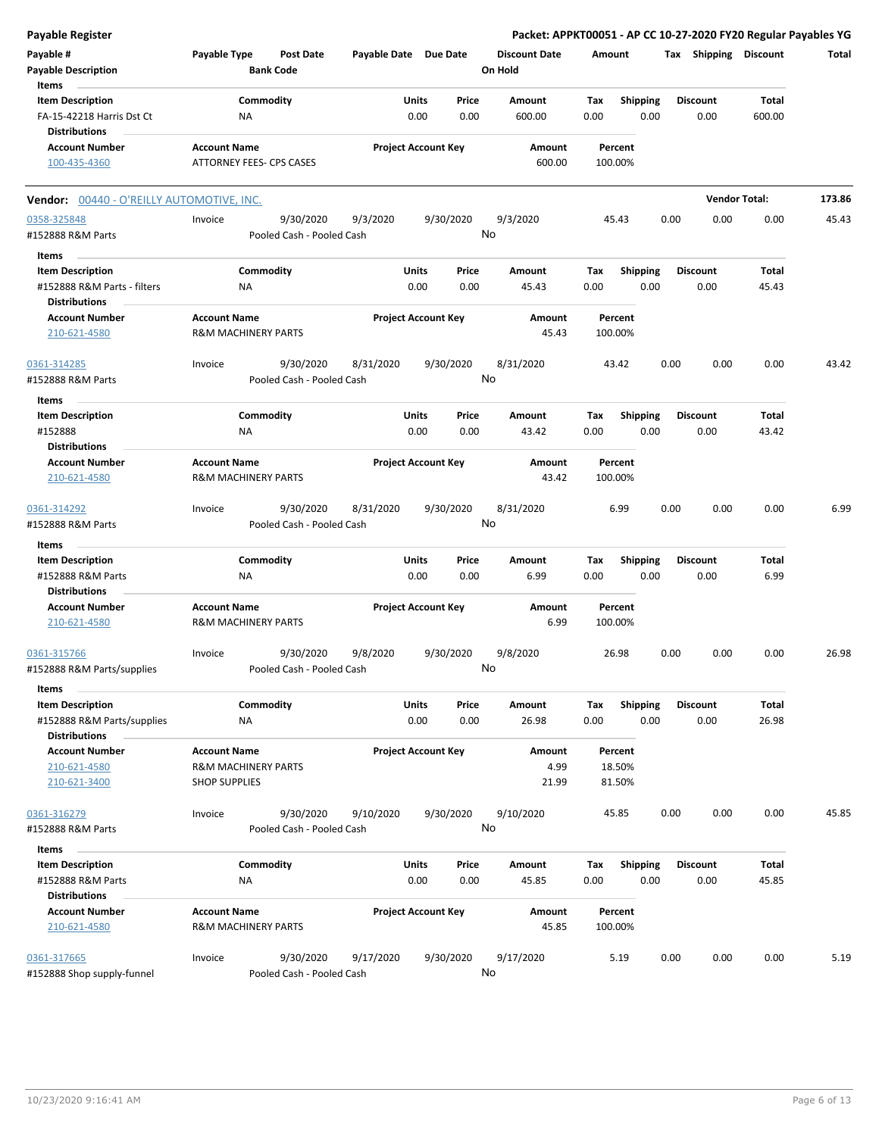| <b>Payable Register</b>                                                        |                                                                               |                       |                            |                                 | Packet: APPKT00051 - AP CC 10-27-2020 FY20 Regular Payables YG |                         |                        |        |
|--------------------------------------------------------------------------------|-------------------------------------------------------------------------------|-----------------------|----------------------------|---------------------------------|----------------------------------------------------------------|-------------------------|------------------------|--------|
| Payable #<br><b>Payable Description</b>                                        | Payable Type<br><b>Post Date</b><br><b>Bank Code</b>                          | Payable Date Due Date |                            | <b>Discount Date</b><br>On Hold | Amount                                                         | Tax Shipping Discount   |                        | Total  |
| Items<br><b>Item Description</b><br>FA-15-42218 Harris Dst Ct                  | Commodity<br>NA                                                               | Units                 | Price<br>0.00<br>0.00      | Amount<br>600.00                | Tax<br><b>Shipping</b><br>0.00<br>0.00                         | <b>Discount</b><br>0.00 | <b>Total</b><br>600.00 |        |
| <b>Distributions</b><br><b>Account Number</b><br>100-435-4360                  | <b>Account Name</b><br><b>ATTORNEY FEES- CPS CASES</b>                        |                       | <b>Project Account Key</b> | Amount<br>600.00                | Percent<br>100.00%                                             |                         |                        |        |
| <b>Vendor: 00440 - O'REILLY AUTOMOTIVE, INC.</b>                               |                                                                               |                       |                            |                                 |                                                                |                         | <b>Vendor Total:</b>   | 173.86 |
| 0358-325848<br>#152888 R&M Parts                                               | 9/30/2020<br>Invoice<br>Pooled Cash - Pooled Cash                             | 9/3/2020              | 9/30/2020                  | 9/3/2020<br>No                  | 45.43                                                          | 0.00<br>0.00            | 0.00                   | 45.43  |
| Items                                                                          |                                                                               |                       |                            |                                 |                                                                |                         |                        |        |
| <b>Item Description</b><br>#152888 R&M Parts - filters<br><b>Distributions</b> | Commodity<br>ΝA                                                               | Units                 | Price<br>0.00<br>0.00      | Amount<br>45.43                 | Tax<br><b>Shipping</b><br>0.00<br>0.00                         | <b>Discount</b><br>0.00 | <b>Total</b><br>45.43  |        |
| <b>Account Number</b><br>210-621-4580                                          | <b>Account Name</b><br><b>R&amp;M MACHINERY PARTS</b>                         |                       | <b>Project Account Key</b> | Amount<br>45.43                 | Percent<br>100.00%                                             |                         |                        |        |
| 0361-314285<br>#152888 R&M Parts                                               | 9/30/2020<br>Invoice<br>Pooled Cash - Pooled Cash                             | 8/31/2020             | 9/30/2020                  | 8/31/2020<br>No                 | 43.42                                                          | 0.00<br>0.00            | 0.00                   | 43.42  |
| Items                                                                          |                                                                               |                       |                            |                                 |                                                                |                         |                        |        |
| <b>Item Description</b><br>#152888<br><b>Distributions</b>                     | Commodity<br>ΝA                                                               | Units                 | Price<br>0.00<br>0.00      | Amount<br>43.42                 | <b>Shipping</b><br>Tax<br>0.00<br>0.00                         | <b>Discount</b><br>0.00 | <b>Total</b><br>43.42  |        |
| <b>Account Number</b><br>210-621-4580                                          | <b>Account Name</b><br><b>R&amp;M MACHINERY PARTS</b>                         |                       | <b>Project Account Key</b> | Amount<br>43.42                 | Percent<br>100.00%                                             |                         |                        |        |
| 0361-314292<br>#152888 R&M Parts                                               | 9/30/2020<br>Invoice<br>Pooled Cash - Pooled Cash                             | 8/31/2020             | 9/30/2020                  | 8/31/2020<br>No                 | 6.99                                                           | 0.00<br>0.00            | 0.00                   | 6.99   |
| Items                                                                          |                                                                               |                       |                            |                                 |                                                                |                         |                        |        |
| <b>Item Description</b><br>#152888 R&M Parts<br><b>Distributions</b>           | Commodity<br>ΝA                                                               | <b>Units</b>          | Price<br>0.00<br>0.00      | Amount<br>6.99                  | Tax<br><b>Shipping</b><br>0.00<br>0.00                         | <b>Discount</b><br>0.00 | Total<br>6.99          |        |
| <b>Account Number</b><br>210-621-4580                                          | <b>Account Name</b><br><b>R&amp;M MACHINERY PARTS</b>                         |                       | <b>Project Account Key</b> | Amount<br>6.99                  | Percent<br>100.00%                                             |                         |                        |        |
| 0361-315766<br>#152888 R&M Parts/supplies                                      | 9/30/2020<br>Invoice<br>Pooled Cash - Pooled Cash                             | 9/8/2020              | 9/30/2020                  | 9/8/2020<br>No                  | 26.98                                                          | 0.00<br>0.00            | 0.00                   | 26.98  |
| Items                                                                          |                                                                               |                       |                            |                                 |                                                                |                         |                        |        |
| <b>Item Description</b><br>#152888 R&M Parts/supplies<br><b>Distributions</b>  | Commodity<br>NA                                                               | Units                 | Price<br>0.00<br>0.00      | Amount<br>26.98                 | <b>Shipping</b><br>Tax<br>0.00<br>0.00                         | <b>Discount</b><br>0.00 | Total<br>26.98         |        |
| <b>Account Number</b><br>210-621-4580<br>210-621-3400                          | <b>Account Name</b><br><b>R&amp;M MACHINERY PARTS</b><br><b>SHOP SUPPLIES</b> |                       | <b>Project Account Key</b> | Amount<br>4.99<br>21.99         | Percent<br>18.50%<br>81.50%                                    |                         |                        |        |
| 0361-316279<br>#152888 R&M Parts                                               | Invoice<br>9/30/2020<br>Pooled Cash - Pooled Cash                             | 9/10/2020             | 9/30/2020                  | 9/10/2020<br>No                 | 45.85                                                          | 0.00<br>0.00            | 0.00                   | 45.85  |
| Items                                                                          |                                                                               |                       |                            |                                 |                                                                |                         |                        |        |
| <b>Item Description</b><br>#152888 R&M Parts                                   | Commodity<br>NA                                                               | Units                 | Price<br>0.00<br>0.00      | Amount<br>45.85                 | Tax<br><b>Shipping</b><br>0.00<br>0.00                         | <b>Discount</b><br>0.00 | Total<br>45.85         |        |
| <b>Distributions</b><br><b>Account Number</b><br>210-621-4580                  | <b>Account Name</b><br><b>R&amp;M MACHINERY PARTS</b>                         |                       | <b>Project Account Key</b> | Amount<br>45.85                 | Percent<br>100.00%                                             |                         |                        |        |
| 0361-317665<br>#152888 Shop supply-funnel                                      | 9/30/2020<br>Invoice<br>Pooled Cash - Pooled Cash                             | 9/17/2020             | 9/30/2020                  | 9/17/2020<br>No                 | 5.19                                                           | 0.00<br>0.00            | 0.00                   | 5.19   |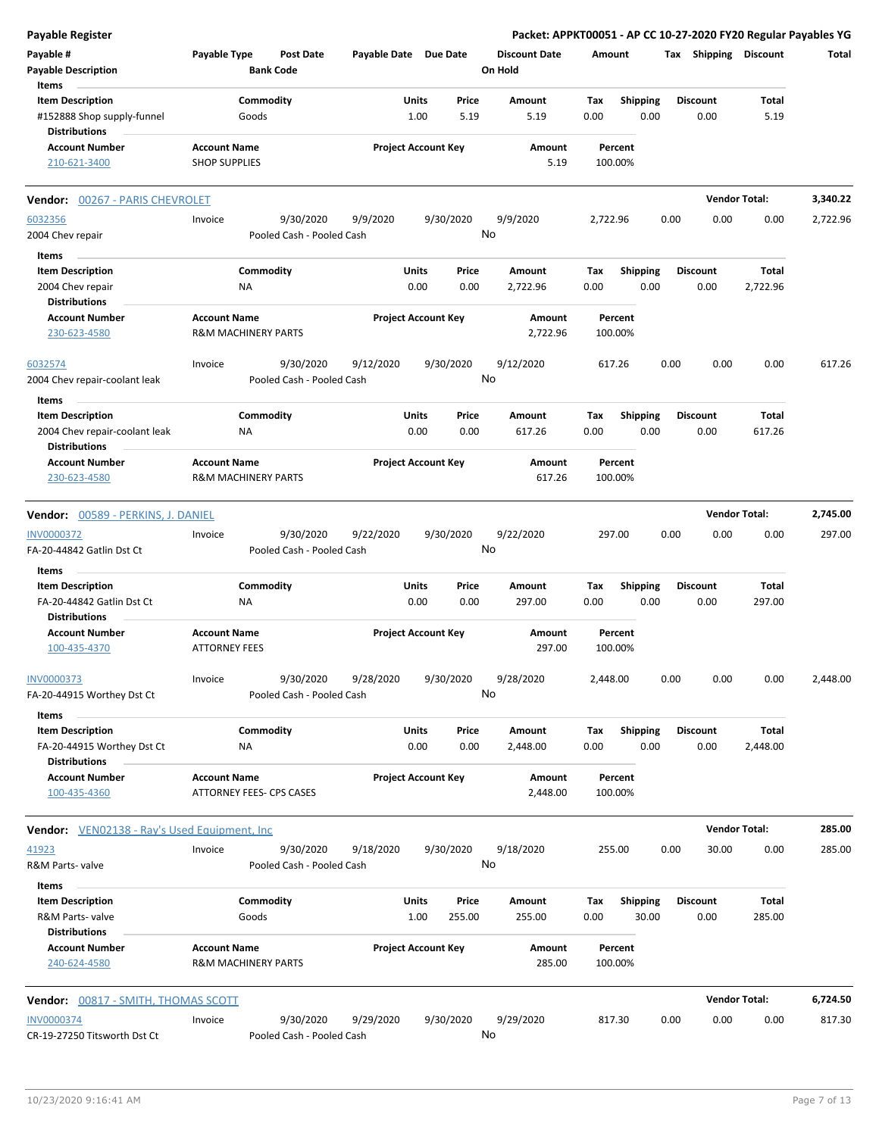| Payable #<br><b>Payable Description</b><br>Items                              | Payable Type                                          | <b>Post Date</b><br><b>Bank Code</b>   | Payable Date Due Date |                                       | <b>Discount Date</b><br>On Hold | Amount             |                         |      | Tax Shipping Discount   |                      | Total    |
|-------------------------------------------------------------------------------|-------------------------------------------------------|----------------------------------------|-----------------------|---------------------------------------|---------------------------------|--------------------|-------------------------|------|-------------------------|----------------------|----------|
| <b>Item Description</b><br>#152888 Shop supply-funnel<br><b>Distributions</b> | Goods                                                 | Commodity                              |                       | <b>Units</b><br>Price<br>1.00<br>5.19 | Amount<br>5.19                  | Tax<br>0.00        | <b>Shipping</b><br>0.00 |      | <b>Discount</b><br>0.00 | Total<br>5.19        |          |
| <b>Account Number</b><br>210-621-3400                                         | <b>Account Name</b><br><b>SHOP SUPPLIES</b>           |                                        |                       | <b>Project Account Key</b>            | Amount<br>5.19                  | Percent<br>100.00% |                         |      |                         |                      |          |
| <b>Vendor:</b> 00267 - PARIS CHEVROLET                                        |                                                       |                                        |                       |                                       |                                 |                    |                         |      |                         | <b>Vendor Total:</b> | 3,340.22 |
| 6032356                                                                       | Invoice                                               | 9/30/2020                              | 9/9/2020              | 9/30/2020                             | 9/9/2020                        | 2,722.96           |                         | 0.00 | 0.00                    | 0.00                 | 2,722.96 |
| 2004 Chev repair                                                              |                                                       | Pooled Cash - Pooled Cash              |                       |                                       | No                              |                    |                         |      |                         |                      |          |
| Items                                                                         |                                                       |                                        |                       |                                       |                                 |                    |                         |      |                         |                      |          |
| <b>Item Description</b>                                                       |                                                       | Commodity                              |                       | Units<br>Price                        | Amount                          | Tax                | Shipping                |      | <b>Discount</b>         | Total                |          |
| 2004 Chev repair                                                              | ΝA                                                    |                                        |                       | 0.00<br>0.00                          | 2,722.96                        | 0.00               | 0.00                    |      | 0.00                    | 2,722.96             |          |
| <b>Distributions</b>                                                          |                                                       |                                        |                       |                                       |                                 |                    |                         |      |                         |                      |          |
| <b>Account Number</b><br>230-623-4580                                         | <b>Account Name</b><br><b>R&amp;M MACHINERY PARTS</b> |                                        |                       | <b>Project Account Key</b>            | Amount<br>2,722.96              | Percent<br>100.00% |                         |      |                         |                      |          |
| 6032574<br>2004 Chev repair-coolant leak                                      | Invoice                                               | 9/30/2020<br>Pooled Cash - Pooled Cash | 9/12/2020             | 9/30/2020                             | 9/12/2020<br>No                 | 617.26             |                         | 0.00 | 0.00                    | 0.00                 | 617.26   |
| Items                                                                         |                                                       |                                        |                       |                                       |                                 |                    |                         |      |                         |                      |          |
| <b>Item Description</b>                                                       |                                                       | Commodity                              |                       | Units<br>Price                        | Amount                          | Tax                | <b>Shipping</b>         |      | <b>Discount</b>         | Total                |          |
| 2004 Chev repair-coolant leak<br>Distributions                                | ΝA                                                    |                                        |                       | 0.00<br>0.00                          | 617.26                          | 0.00               | 0.00                    |      | 0.00                    | 617.26               |          |
| <b>Account Number</b><br>230-623-4580                                         | <b>Account Name</b><br><b>R&amp;M MACHINERY PARTS</b> |                                        |                       | <b>Project Account Key</b>            | Amount<br>617.26                | Percent<br>100.00% |                         |      |                         |                      |          |
| <b>Vendor:</b> 00589 - PERKINS, J. DANIEL                                     |                                                       |                                        |                       |                                       |                                 |                    |                         |      |                         | <b>Vendor Total:</b> | 2,745.00 |
| INV0000372                                                                    | Invoice                                               | 9/30/2020                              | 9/22/2020             | 9/30/2020                             | 9/22/2020                       | 297.00             |                         | 0.00 | 0.00                    | 0.00                 | 297.00   |
| FA-20-44842 Gatlin Dst Ct                                                     |                                                       | Pooled Cash - Pooled Cash              |                       |                                       | No                              |                    |                         |      |                         |                      |          |
| Items                                                                         |                                                       |                                        |                       |                                       |                                 |                    |                         |      |                         |                      |          |
| <b>Item Description</b>                                                       |                                                       | Commodity                              |                       | Units<br>Price                        | Amount                          | Tax                | <b>Shipping</b>         |      | <b>Discount</b>         | Total                |          |
| FA-20-44842 Gatlin Dst Ct                                                     | ΝA                                                    |                                        |                       | 0.00<br>0.00                          | 297.00                          | 0.00               | 0.00                    |      | 0.00                    | 297.00               |          |
| <b>Distributions</b>                                                          |                                                       |                                        |                       |                                       |                                 |                    |                         |      |                         |                      |          |
| <b>Account Number</b>                                                         | <b>Account Name</b>                                   |                                        |                       | <b>Project Account Key</b>            | Amount                          | Percent            |                         |      |                         |                      |          |
| 100-435-4370                                                                  | <b>ATTORNEY FEES</b>                                  |                                        |                       |                                       | 297.00                          | 100.00%            |                         |      |                         |                      |          |
| <u>INV0000373</u><br>FA-20-44915 Worthey Dst Ct                               | Invoice                                               | 9/30/2020<br>Pooled Cash - Pooled Cash | 9/28/2020             | 9/30/2020                             | 9/28/2020<br>No                 | 2,448.00           |                         | 0.00 | 0.00                    | 0.00                 | 2,448.00 |
| Items                                                                         |                                                       |                                        |                       |                                       |                                 |                    |                         |      |                         |                      |          |
| <b>Item Description</b>                                                       |                                                       | Commodity                              |                       | <b>Units</b><br>Price                 | Amount                          | Tax                | <b>Shipping</b>         |      | <b>Discount</b>         | Total                |          |
| FA-20-44915 Worthey Dst Ct                                                    | NA                                                    |                                        |                       | 0.00<br>0.00                          | 2,448.00                        | 0.00               | 0.00                    |      | 0.00                    | 2,448.00             |          |
| <b>Distributions</b><br><b>Account Number</b>                                 | <b>Account Name</b>                                   |                                        |                       | <b>Project Account Key</b>            | Amount                          | Percent            |                         |      |                         |                      |          |
| 100-435-4360                                                                  | <b>ATTORNEY FEES- CPS CASES</b>                       |                                        |                       |                                       | 2,448.00                        | 100.00%            |                         |      |                         |                      |          |
| <b>Vendor:</b> VEN02138 - Ray's Used Equipment, Inc                           |                                                       |                                        |                       |                                       |                                 |                    |                         |      |                         | <b>Vendor Total:</b> | 285.00   |
| 41923                                                                         | Invoice                                               | 9/30/2020                              | 9/18/2020             | 9/30/2020                             | 9/18/2020                       | 255.00             |                         | 0.00 | 30.00                   | 0.00                 | 285.00   |
| R&M Parts- valve<br>Items                                                     |                                                       | Pooled Cash - Pooled Cash              |                       |                                       | No                              |                    |                         |      |                         |                      |          |
| <b>Item Description</b>                                                       |                                                       | Commodity                              |                       | <b>Units</b><br>Price                 | Amount                          | Tax                | Shipping                |      | <b>Discount</b>         | Total                |          |
| R&M Parts-valve                                                               | Goods                                                 |                                        |                       | 1.00<br>255.00                        | 255.00                          | 0.00               | 30.00                   |      | 0.00                    | 285.00               |          |
| <b>Distributions</b>                                                          |                                                       |                                        |                       |                                       |                                 |                    |                         |      |                         |                      |          |
| <b>Account Number</b><br>240-624-4580                                         | <b>Account Name</b><br><b>R&amp;M MACHINERY PARTS</b> |                                        |                       | <b>Project Account Key</b>            | Amount<br>285.00                | Percent<br>100.00% |                         |      |                         |                      |          |
| Vendor: 00817 - SMITH, THOMAS SCOTT                                           |                                                       |                                        |                       |                                       |                                 |                    |                         |      |                         | <b>Vendor Total:</b> | 6,724.50 |
| <b>INV0000374</b>                                                             | Invoice                                               | 9/30/2020                              |                       |                                       |                                 | 817.30             |                         | 0.00 | 0.00                    | 0.00                 | 817.30   |
| CR-19-27250 Titsworth Dst Ct                                                  |                                                       | Pooled Cash - Pooled Cash              | 9/29/2020             | 9/30/2020                             | 9/29/2020<br>No                 |                    |                         |      |                         |                      |          |

**Payable Register Packet: APPKT00051 - AP CC 10-27-2020 FY20 Regular Payables YG**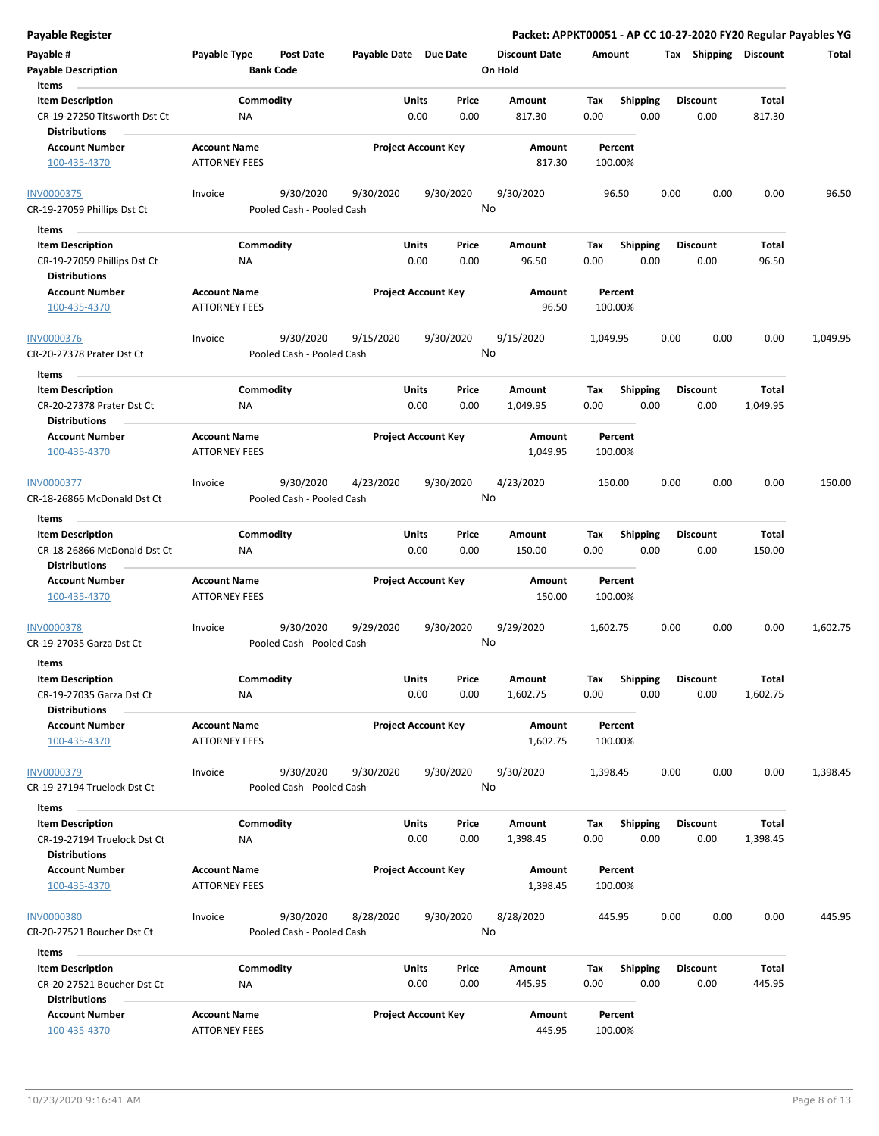| Payable #<br><b>Payable Description</b><br>Items              | Payable Type                                | Post Date<br><b>Bank Code</b>          | Payable Date Due Date |                            | <b>Discount Date</b><br>On Hold | Amount             |                         |      |                         | Tax Shipping Discount | Total    |
|---------------------------------------------------------------|---------------------------------------------|----------------------------------------|-----------------------|----------------------------|---------------------------------|--------------------|-------------------------|------|-------------------------|-----------------------|----------|
| <b>Item Description</b><br>CR-19-27250 Titsworth Dst Ct       | ΝA                                          | Commodity                              | Units                 | Price<br>0.00<br>0.00      | Amount<br>817.30                | Tax<br>0.00        | <b>Shipping</b><br>0.00 |      | <b>Discount</b><br>0.00 | Total<br>817.30       |          |
| <b>Distributions</b><br><b>Account Number</b><br>100-435-4370 | <b>Account Name</b><br><b>ATTORNEY FEES</b> |                                        |                       | <b>Project Account Key</b> | Amount<br>817.30                | Percent<br>100.00% |                         |      |                         |                       |          |
| INV0000375<br>CR-19-27059 Phillips Dst Ct                     | Invoice                                     | 9/30/2020<br>Pooled Cash - Pooled Cash | 9/30/2020             | 9/30/2020                  | 9/30/2020<br>No                 | 96.50              |                         | 0.00 | 0.00                    | 0.00                  | 96.50    |
| Items                                                         |                                             |                                        |                       |                            |                                 |                    |                         |      |                         |                       |          |
| <b>Item Description</b>                                       |                                             | Commodity                              | Units                 | Price                      | Amount                          | Tax                | <b>Shipping</b>         |      | <b>Discount</b>         | Total                 |          |
| CR-19-27059 Phillips Dst Ct                                   | ΝA                                          |                                        |                       | 0.00<br>0.00               | 96.50                           | 0.00               | 0.00                    |      | 0.00                    | 96.50                 |          |
| <b>Distributions</b>                                          |                                             |                                        |                       |                            |                                 |                    |                         |      |                         |                       |          |
| <b>Account Number</b>                                         | <b>Account Name</b>                         |                                        |                       | <b>Project Account Key</b> | Amount                          | Percent            |                         |      |                         |                       |          |
| 100-435-4370                                                  | <b>ATTORNEY FEES</b>                        |                                        |                       |                            | 96.50                           | 100.00%            |                         |      |                         |                       |          |
| <b>INV0000376</b>                                             | Invoice                                     | 9/30/2020                              | 9/15/2020             | 9/30/2020                  | 9/15/2020                       | 1,049.95           |                         | 0.00 | 0.00                    | 0.00                  | 1,049.95 |
| CR-20-27378 Prater Dst Ct                                     |                                             | Pooled Cash - Pooled Cash              |                       |                            | No                              |                    |                         |      |                         |                       |          |
| Items                                                         |                                             |                                        |                       |                            |                                 |                    |                         |      |                         |                       |          |
| <b>Item Description</b>                                       |                                             | Commodity                              | Units                 | Price                      | Amount                          | Tax                | <b>Shipping</b>         |      | <b>Discount</b>         | Total                 |          |
| CR-20-27378 Prater Dst Ct                                     | ΝA                                          |                                        |                       | 0.00<br>0.00               | 1,049.95                        | 0.00               | 0.00                    |      | 0.00                    | 1,049.95              |          |
| <b>Distributions</b>                                          |                                             |                                        |                       |                            |                                 |                    |                         |      |                         |                       |          |
| <b>Account Number</b><br>100-435-4370                         | <b>Account Name</b><br><b>ATTORNEY FEES</b> |                                        |                       | <b>Project Account Key</b> | Amount<br>1,049.95              | Percent<br>100.00% |                         |      |                         |                       |          |
| INV0000377                                                    | Invoice                                     | 9/30/2020                              | 4/23/2020             | 9/30/2020                  | 4/23/2020                       | 150.00             |                         | 0.00 | 0.00                    | 0.00                  | 150.00   |
| CR-18-26866 McDonald Dst Ct                                   |                                             | Pooled Cash - Pooled Cash              |                       |                            | No                              |                    |                         |      |                         |                       |          |
| Items                                                         |                                             |                                        |                       |                            |                                 |                    |                         |      |                         |                       |          |
| <b>Item Description</b>                                       |                                             | Commodity                              | Units                 | Price                      | Amount                          | Tax                | <b>Shipping</b>         |      | <b>Discount</b>         | Total                 |          |
| CR-18-26866 McDonald Dst Ct<br><b>Distributions</b>           | ΝA                                          |                                        |                       | 0.00<br>0.00               | 150.00                          | 0.00               | 0.00                    |      | 0.00                    | 150.00                |          |
| <b>Account Number</b><br>100-435-4370                         | <b>Account Name</b><br><b>ATTORNEY FEES</b> |                                        |                       | <b>Project Account Key</b> | Amount<br>150.00                | Percent<br>100.00% |                         |      |                         |                       |          |
| <u>INV0000378</u><br>CR-19-27035 Garza Dst Ct                 | Invoice                                     | 9/30/2020<br>Pooled Cash - Pooled Cash | 9/29/2020             | 9/30/2020                  | 9/29/2020<br>No                 | 1,602.75           |                         | 0.00 | 0.00                    | 0.00                  | 1,602.75 |
| Items                                                         |                                             |                                        |                       |                            |                                 |                    |                         |      |                         |                       |          |
| <b>Item Description</b><br>CR-19-27035 Garza Dst Ct           | NA                                          | Commodity                              | Units                 | Price<br>0.00<br>0.00      | Amount<br>1,602.75              | Tax<br>0.00        | Shipping<br>0.00        |      | <b>Discount</b><br>0.00 | Total<br>1,602.75     |          |
| <b>Distributions</b><br><b>Account Number</b>                 | <b>Account Name</b>                         |                                        |                       | <b>Project Account Key</b> | Amount                          | Percent            |                         |      |                         |                       |          |
| 100-435-4370                                                  | <b>ATTORNEY FEES</b>                        |                                        |                       |                            | 1,602.75                        | 100.00%            |                         |      |                         |                       |          |
| INV0000379<br>CR-19-27194 Truelock Dst Ct                     | Invoice                                     | 9/30/2020<br>Pooled Cash - Pooled Cash | 9/30/2020             | 9/30/2020                  | 9/30/2020<br>No                 | 1,398.45           |                         | 0.00 | 0.00                    | 0.00                  | 1,398.45 |
| Items                                                         |                                             |                                        |                       |                            |                                 |                    |                         |      |                         |                       |          |
| <b>Item Description</b>                                       |                                             | Commodity                              | Units                 | Price                      | Amount                          | Тах                | Shipping                |      | <b>Discount</b>         | Total                 |          |
| CR-19-27194 Truelock Dst Ct<br><b>Distributions</b>           | ΝA                                          |                                        |                       | 0.00<br>0.00               | 1,398.45                        | 0.00               | 0.00                    |      | 0.00                    | 1,398.45              |          |
| <b>Account Number</b><br>100-435-4370                         | <b>Account Name</b><br><b>ATTORNEY FEES</b> |                                        |                       | <b>Project Account Key</b> | Amount<br>1,398.45              | Percent<br>100.00% |                         |      |                         |                       |          |
| <b>INV0000380</b><br>CR-20-27521 Boucher Dst Ct               | Invoice                                     | 9/30/2020<br>Pooled Cash - Pooled Cash | 8/28/2020             | 9/30/2020                  | 8/28/2020<br>No                 | 445.95             |                         | 0.00 | 0.00                    | 0.00                  | 445.95   |
| Items                                                         |                                             |                                        |                       |                            |                                 |                    |                         |      |                         |                       |          |
| <b>Item Description</b>                                       |                                             | Commodity                              | Units                 | Price                      | Amount                          | Tax                | <b>Shipping</b>         |      | <b>Discount</b>         | Total                 |          |
| CR-20-27521 Boucher Dst Ct<br><b>Distributions</b>            | <b>NA</b>                                   |                                        |                       | 0.00<br>0.00               | 445.95                          | 0.00               | 0.00                    |      | 0.00                    | 445.95                |          |
| <b>Account Number</b>                                         | <b>Account Name</b>                         |                                        |                       | <b>Project Account Key</b> | Amount                          | Percent            |                         |      |                         |                       |          |
| 100-435-4370                                                  | <b>ATTORNEY FEES</b>                        |                                        |                       |                            | 445.95                          | 100.00%            |                         |      |                         |                       |          |

**Payable Register Packet: APPKT00051 - AP CC 10-27-2020 FY20 Regular Payables YG**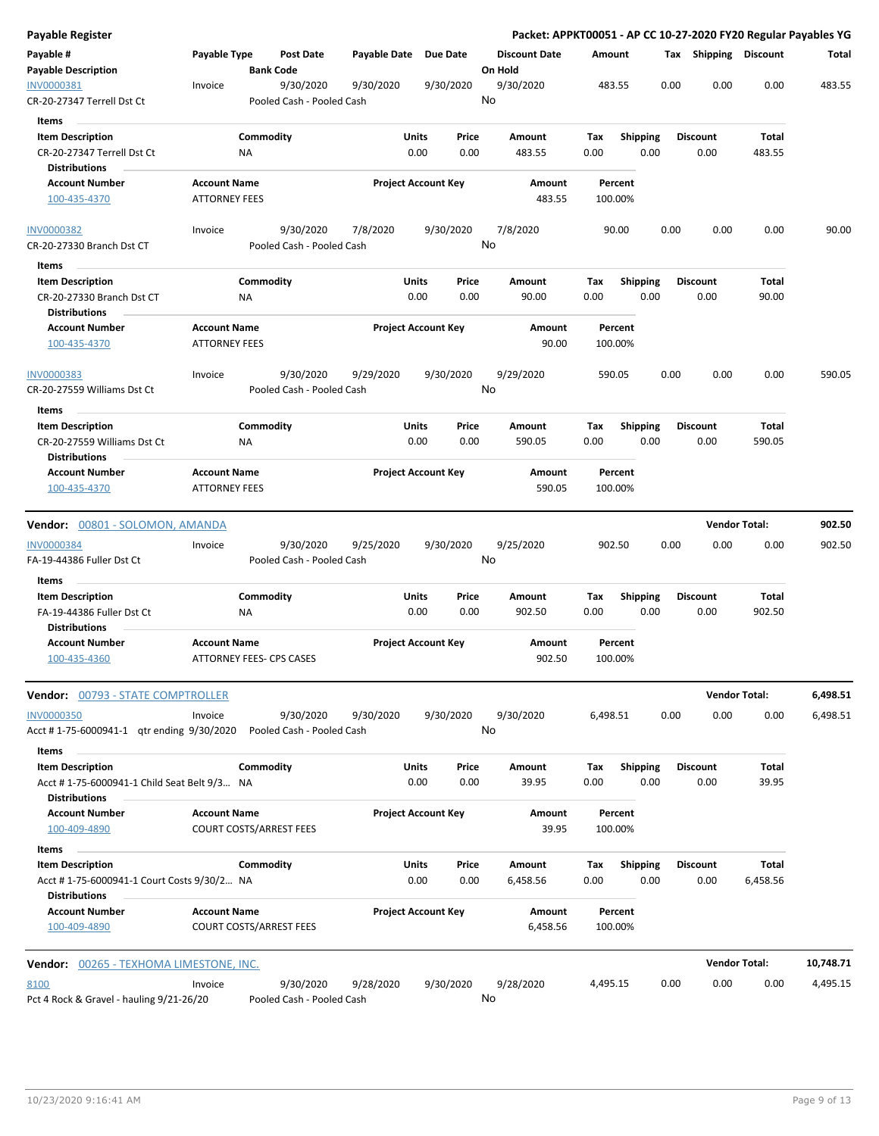| Payable Register                                                             |                                                       |                  |                                        |                       |                            |               | Packet: APPKT00051 - AP CC 10-27-2020 FY20 Regular Payables YG |                    |                         |      |                         |                      |           |
|------------------------------------------------------------------------------|-------------------------------------------------------|------------------|----------------------------------------|-----------------------|----------------------------|---------------|----------------------------------------------------------------|--------------------|-------------------------|------|-------------------------|----------------------|-----------|
| Payable #<br><b>Payable Description</b>                                      | Payable Type                                          | <b>Bank Code</b> | Post Date                              | Payable Date Due Date |                            |               | <b>Discount Date</b><br>On Hold                                | Amount             |                         |      | Tax Shipping Discount   |                      | Total     |
| INV0000381<br>CR-20-27347 Terrell Dst Ct                                     | Invoice                                               |                  | 9/30/2020<br>Pooled Cash - Pooled Cash | 9/30/2020             | 9/30/2020                  |               | 9/30/2020<br>No                                                | 483.55             |                         | 0.00 | 0.00                    | 0.00                 | 483.55    |
| <b>Items</b>                                                                 |                                                       |                  |                                        |                       |                            |               |                                                                |                    |                         |      |                         |                      |           |
| <b>Item Description</b><br>CR-20-27347 Terrell Dst Ct                        |                                                       | Commodity<br>ΝA  |                                        |                       | Units<br>0.00              | Price<br>0.00 | Amount<br>483.55                                               | Tax<br>0.00        | <b>Shipping</b><br>0.00 |      | <b>Discount</b><br>0.00 | Total<br>483.55      |           |
| <b>Distributions</b>                                                         |                                                       |                  |                                        |                       |                            |               |                                                                |                    |                         |      |                         |                      |           |
| <b>Account Number</b><br>100-435-4370                                        | <b>Account Name</b><br><b>ATTORNEY FEES</b>           |                  |                                        |                       | <b>Project Account Key</b> |               | Amount<br>483.55                                               | Percent<br>100.00% |                         |      |                         |                      |           |
| <b>INV0000382</b><br>CR-20-27330 Branch Dst CT                               | Invoice                                               |                  | 9/30/2020<br>Pooled Cash - Pooled Cash | 7/8/2020              | 9/30/2020                  |               | 7/8/2020<br>No                                                 | 90.00              |                         | 0.00 | 0.00                    | 0.00                 | 90.00     |
| Items                                                                        |                                                       |                  |                                        |                       |                            |               |                                                                |                    |                         |      |                         |                      |           |
| <b>Item Description</b><br>CR-20-27330 Branch Dst CT<br><b>Distributions</b> |                                                       | Commodity<br>NA  |                                        |                       | Units<br>0.00              | Price<br>0.00 | Amount<br>90.00                                                | Tax<br>0.00        | <b>Shipping</b><br>0.00 |      | <b>Discount</b><br>0.00 | Total<br>90.00       |           |
| <b>Account Number</b><br>100-435-4370                                        | <b>Account Name</b><br><b>ATTORNEY FEES</b>           |                  |                                        |                       | <b>Project Account Key</b> |               | Amount<br>90.00                                                | Percent<br>100.00% |                         |      |                         |                      |           |
| <b>INV0000383</b><br>CR-20-27559 Williams Dst Ct                             | Invoice                                               |                  | 9/30/2020<br>Pooled Cash - Pooled Cash | 9/29/2020             | 9/30/2020                  |               | 9/29/2020<br>No                                                | 590.05             |                         | 0.00 | 0.00                    | 0.00                 | 590.05    |
| Items                                                                        |                                                       |                  |                                        |                       |                            |               |                                                                |                    |                         |      |                         |                      |           |
| <b>Item Description</b><br>CR-20-27559 Williams Dst Ct                       |                                                       | Commodity<br>NA  |                                        |                       | Units<br>0.00              | Price<br>0.00 | Amount<br>590.05                                               | Tax<br>0.00        | <b>Shipping</b><br>0.00 |      | <b>Discount</b><br>0.00 | Total<br>590.05      |           |
| <b>Distributions</b><br><b>Account Number</b>                                | <b>Account Name</b>                                   |                  |                                        |                       | <b>Project Account Key</b> |               | Amount                                                         | Percent            |                         |      |                         |                      |           |
| 100-435-4370                                                                 | <b>ATTORNEY FEES</b>                                  |                  |                                        |                       |                            |               | 590.05                                                         | 100.00%            |                         |      |                         |                      |           |
| Vendor: 00801 - SOLOMON, AMANDA                                              |                                                       |                  |                                        |                       |                            |               |                                                                |                    |                         |      |                         | <b>Vendor Total:</b> | 902.50    |
| <b>INV0000384</b><br>FA-19-44386 Fuller Dst Ct                               | Invoice                                               |                  | 9/30/2020<br>Pooled Cash - Pooled Cash | 9/25/2020             | 9/30/2020                  |               | 9/25/2020<br>No                                                | 902.50             |                         | 0.00 | 0.00                    | 0.00                 | 902.50    |
| Items                                                                        |                                                       |                  |                                        |                       |                            |               |                                                                |                    |                         |      |                         |                      |           |
| <b>Item Description</b><br>FA-19-44386 Fuller Dst Ct                         |                                                       | Commodity<br>ΝA  |                                        |                       | Units<br>0.00              | Price<br>0.00 | Amount<br>902.50                                               | Tax<br>0.00        | <b>Shipping</b><br>0.00 |      | <b>Discount</b><br>0.00 | Total<br>902.50      |           |
| <b>Distributions</b><br><b>Account Number</b>                                |                                                       |                  |                                        |                       | <b>Project Account Key</b> |               |                                                                |                    |                         |      |                         |                      |           |
| 100-435-4360                                                                 | <b>Account Name</b><br>ATTORNEY FEES- CPS CASES       |                  |                                        |                       |                            |               | Amount<br>902.50                                               | Percent<br>100.00% |                         |      |                         |                      |           |
| <b>Vendor:</b> 00793 - STATE COMPTROLLER                                     |                                                       |                  |                                        |                       |                            |               |                                                                |                    |                         |      |                         | <b>Vendor Total:</b> | 6,498.51  |
| <b>INV0000350</b><br>Acct #1-75-6000941-1 qtr ending 9/30/2020               | Invoice                                               |                  | 9/30/2020<br>Pooled Cash - Pooled Cash | 9/30/2020             | 9/30/2020                  |               | 9/30/2020<br>No                                                | 6,498.51           |                         | 0.00 | 0.00                    | 0.00                 | 6,498.51  |
|                                                                              |                                                       |                  |                                        |                       |                            |               |                                                                |                    |                         |      |                         |                      |           |
| Items<br><b>Item Description</b>                                             |                                                       | Commodity        |                                        |                       | Units                      | Price         | Amount                                                         | Tax                | <b>Shipping</b>         |      | <b>Discount</b>         | Total                |           |
| Acct #1-75-6000941-1 Child Seat Belt 9/3 NA<br><b>Distributions</b>          |                                                       |                  |                                        |                       | 0.00                       | 0.00          | 39.95                                                          | 0.00               | 0.00                    |      | 0.00                    | 39.95                |           |
| <b>Account Number</b><br>100-409-4890                                        | <b>Account Name</b><br><b>COURT COSTS/ARREST FEES</b> |                  |                                        |                       | <b>Project Account Key</b> |               | Amount<br>39.95                                                | Percent<br>100.00% |                         |      |                         |                      |           |
| Items                                                                        |                                                       |                  |                                        |                       |                            |               |                                                                |                    |                         |      |                         |                      |           |
| <b>Item Description</b><br>Acct #1-75-6000941-1 Court Costs 9/30/2 NA        |                                                       | Commodity        |                                        |                       | Units<br>0.00              | Price<br>0.00 | Amount<br>6,458.56                                             | Тах<br>0.00        | <b>Shipping</b><br>0.00 |      | <b>Discount</b><br>0.00 | Total<br>6,458.56    |           |
| <b>Distributions</b><br><b>Account Number</b><br>100-409-4890                | <b>Account Name</b><br><b>COURT COSTS/ARREST FEES</b> |                  |                                        |                       | <b>Project Account Key</b> |               | Amount<br>6,458.56                                             | Percent<br>100.00% |                         |      |                         |                      |           |
| <b>Vendor:</b> 00265 - TEXHOMA LIMESTONE, INC.                               |                                                       |                  |                                        |                       |                            |               |                                                                |                    |                         |      |                         | <b>Vendor Total:</b> | 10,748.71 |
|                                                                              |                                                       |                  |                                        |                       |                            |               |                                                                |                    |                         |      |                         |                      |           |
| 8100<br>Pct 4 Rock & Gravel - hauling 9/21-26/20                             | Invoice                                               |                  | 9/30/2020<br>Pooled Cash - Pooled Cash | 9/28/2020             | 9/30/2020                  |               | 9/28/2020<br>No                                                | 4,495.15           |                         | 0.00 | 0.00                    | 0.00                 | 4,495.15  |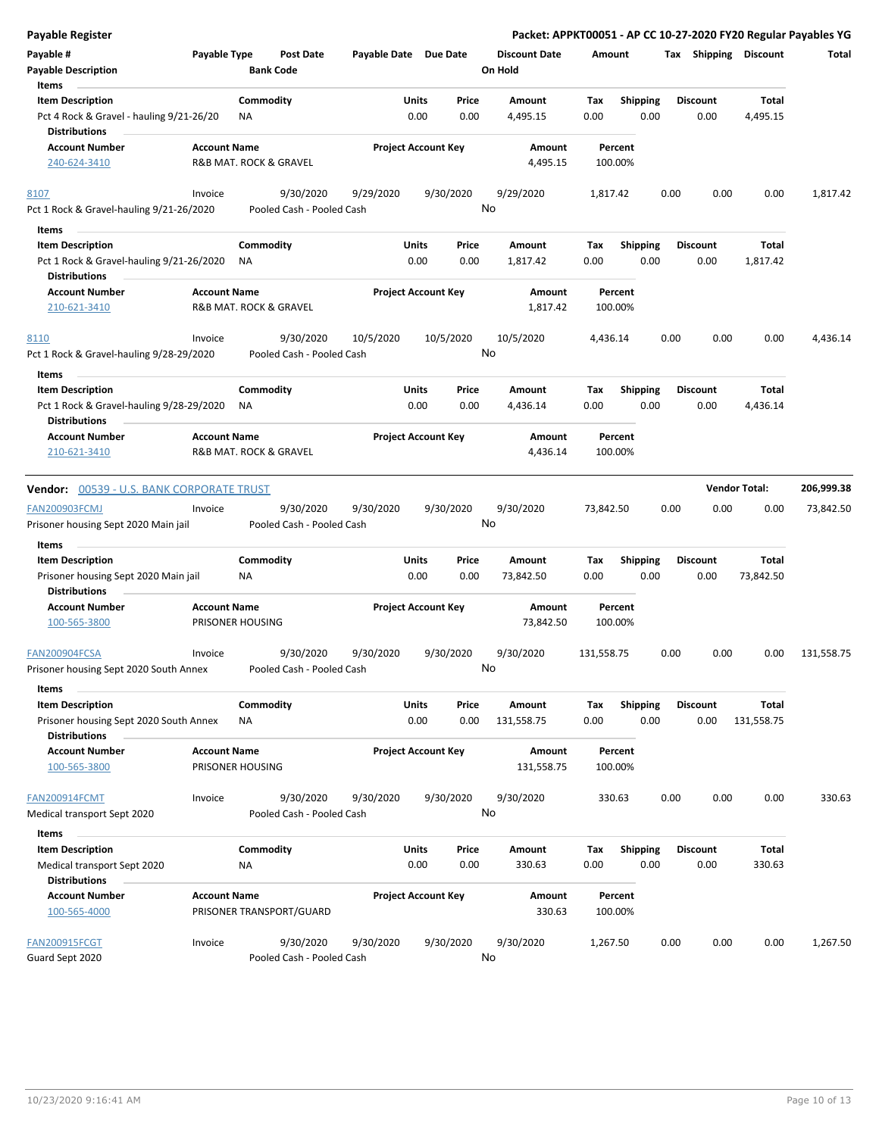| <b>Payable Register</b>                                                                     |                     |                                        |                       |                                |                      | Packet: APPKT00051 - AP CC 10-27-2020 FY20 Regular Payables YG |      |                         |                       |            |
|---------------------------------------------------------------------------------------------|---------------------|----------------------------------------|-----------------------|--------------------------------|----------------------|----------------------------------------------------------------|------|-------------------------|-----------------------|------------|
| Payable #                                                                                   | Payable Type        | <b>Post Date</b>                       | Payable Date Due Date |                                | <b>Discount Date</b> | Amount                                                         |      |                         | Tax Shipping Discount | Total      |
| <b>Payable Description</b>                                                                  |                     | <b>Bank Code</b>                       |                       |                                | On Hold              |                                                                |      |                         |                       |            |
| Items                                                                                       |                     |                                        |                       |                                |                      |                                                                |      |                         |                       |            |
| <b>Item Description</b>                                                                     |                     | Commodity                              |                       | Units<br>Price                 | Amount               | Tax<br><b>Shipping</b>                                         |      | Discount                | Total                 |            |
| Pct 4 Rock & Gravel - hauling 9/21-26/20<br>Distributions                                   |                     | ΝA                                     |                       | 0.00<br>0.00                   | 4,495.15             | 0.00                                                           | 0.00 | 0.00                    | 4,495.15              |            |
| <b>Account Number</b>                                                                       | <b>Account Name</b> |                                        |                       | <b>Project Account Key</b>     | Amount               | Percent                                                        |      |                         |                       |            |
| 240-624-3410                                                                                |                     | R&B MAT. ROCK & GRAVEL                 |                       |                                | 4,495.15             | 100.00%                                                        |      |                         |                       |            |
| 8107                                                                                        | Invoice             | 9/30/2020                              | 9/29/2020             | 9/30/2020                      | 9/29/2020            | 1,817.42                                                       | 0.00 | 0.00                    | 0.00                  | 1,817.42   |
| Pct 1 Rock & Gravel-hauling 9/21-26/2020                                                    |                     | Pooled Cash - Pooled Cash              |                       |                                | No                   |                                                                |      |                         |                       |            |
| Items                                                                                       |                     |                                        |                       |                                |                      |                                                                |      |                         |                       |            |
| <b>Item Description</b><br>Pct 1 Rock & Gravel-hauling 9/21-26/2020<br><b>Distributions</b> |                     | Commodity<br>NA                        |                       | Units<br>Price<br>0.00<br>0.00 | Amount<br>1,817.42   | <b>Shipping</b><br>Tax<br>0.00                                 | 0.00 | <b>Discount</b><br>0.00 | Total<br>1,817.42     |            |
|                                                                                             |                     |                                        |                       |                                |                      |                                                                |      |                         |                       |            |
| <b>Account Number</b><br>210-621-3410                                                       | <b>Account Name</b> | R&B MAT. ROCK & GRAVEL                 |                       | <b>Project Account Key</b>     | Amount<br>1,817.42   | Percent<br>100.00%                                             |      |                         |                       |            |
| <u>8110</u>                                                                                 | Invoice             | 9/30/2020                              | 10/5/2020             | 10/5/2020                      | 10/5/2020            | 4,436.14                                                       | 0.00 | 0.00                    | 0.00                  | 4,436.14   |
| Pct 1 Rock & Gravel-hauling 9/28-29/2020                                                    |                     | Pooled Cash - Pooled Cash              |                       |                                | No                   |                                                                |      |                         |                       |            |
| Items                                                                                       |                     |                                        |                       |                                |                      |                                                                |      |                         |                       |            |
| <b>Item Description</b>                                                                     |                     | Commodity                              |                       | Units<br>Price                 | Amount               | <b>Shipping</b><br>Tax                                         |      | <b>Discount</b>         | Total                 |            |
| Pct 1 Rock & Gravel-hauling 9/28-29/2020<br>Distributions                                   |                     | ΝA                                     |                       | 0.00<br>0.00                   | 4,436.14             | 0.00                                                           | 0.00 | 0.00                    | 4,436.14              |            |
| <b>Account Number</b>                                                                       | <b>Account Name</b> |                                        |                       | <b>Project Account Key</b>     | Amount               | Percent                                                        |      |                         |                       |            |
| 210-621-3410                                                                                |                     | R&B MAT. ROCK & GRAVEL                 |                       |                                | 4,436.14             | 100.00%                                                        |      |                         |                       |            |
| Vendor: 00539 - U.S. BANK CORPORATE TRUST                                                   |                     |                                        |                       |                                |                      |                                                                |      |                         | <b>Vendor Total:</b>  | 206,999.38 |
| FAN200903FCMJ                                                                               | Invoice             | 9/30/2020                              | 9/30/2020             | 9/30/2020                      | 9/30/2020            | 73,842.50                                                      | 0.00 | 0.00                    | 0.00                  | 73,842.50  |
| Prisoner housing Sept 2020 Main jail                                                        |                     | Pooled Cash - Pooled Cash              |                       |                                | No                   |                                                                |      |                         |                       |            |
| Items                                                                                       |                     |                                        |                       |                                |                      |                                                                |      |                         |                       |            |
| <b>Item Description</b>                                                                     |                     | Commodity                              |                       | Units<br>Price                 | Amount               | <b>Shipping</b><br>Tax                                         |      | <b>Discount</b>         | Total                 |            |
| Prisoner housing Sept 2020 Main jail<br>Distributions                                       |                     | ΝA                                     |                       | 0.00<br>0.00                   | 73,842.50            | 0.00                                                           | 0.00 | 0.00                    | 73,842.50             |            |
| <b>Account Number</b>                                                                       | <b>Account Name</b> |                                        |                       | <b>Project Account Key</b>     | Amount               | Percent                                                        |      |                         |                       |            |
| 100-565-3800                                                                                |                     | PRISONER HOUSING                       |                       |                                | 73,842.50            | 100.00%                                                        |      |                         |                       |            |
| FAN200904FCSA                                                                               | Invoice             | 9/30/2020                              | 9/30/2020             | 9/30/2020                      | 9/30/2020            | 131,558.75                                                     | 0.00 | 0.00                    | 0.00                  | 131,558.75 |
| Prisoner housing Sept 2020 South Annex<br>Items                                             |                     | Pooled Cash - Pooled Cash              |                       |                                | No                   |                                                                |      |                         |                       |            |
| <b>Item Description</b>                                                                     |                     | Commodity                              |                       | Units<br>Price                 | Amount               | <b>Shipping</b><br>Tax                                         |      | <b>Discount</b>         | Total                 |            |
| Prisoner housing Sept 2020 South Annex<br><b>Distributions</b>                              |                     | ΝA                                     |                       | 0.00<br>0.00                   | 131,558.75           | 0.00                                                           | 0.00 | 0.00                    | 131,558.75            |            |
| <b>Account Number</b>                                                                       | <b>Account Name</b> |                                        |                       | <b>Project Account Key</b>     | Amount               | Percent                                                        |      |                         |                       |            |
| 100-565-3800                                                                                |                     | PRISONER HOUSING                       |                       |                                | 131,558.75           | 100.00%                                                        |      |                         |                       |            |
| <b>FAN200914FCMT</b>                                                                        | Invoice             | 9/30/2020                              | 9/30/2020             | 9/30/2020                      | 9/30/2020            | 330.63                                                         | 0.00 | 0.00                    | 0.00                  | 330.63     |
| Medical transport Sept 2020                                                                 |                     | Pooled Cash - Pooled Cash              |                       |                                | No                   |                                                                |      |                         |                       |            |
| Items                                                                                       |                     |                                        |                       |                                |                      |                                                                |      |                         |                       |            |
| <b>Item Description</b>                                                                     |                     | Commodity                              |                       | Units<br>Price                 | Amount               | Tax<br><b>Shipping</b>                                         |      | Discount                | Total                 |            |
| Medical transport Sept 2020                                                                 |                     | <b>NA</b>                              |                       | 0.00<br>0.00                   | 330.63               | 0.00                                                           | 0.00 | 0.00                    | 330.63                |            |
| <b>Distributions</b>                                                                        |                     |                                        |                       |                                |                      |                                                                |      |                         |                       |            |
| <b>Account Number</b><br>100-565-4000                                                       | <b>Account Name</b> | PRISONER TRANSPORT/GUARD               |                       | <b>Project Account Key</b>     | Amount<br>330.63     | Percent<br>100.00%                                             |      |                         |                       |            |
| <b>FAN200915FCGT</b><br>Guard Sept 2020                                                     | Invoice             | 9/30/2020<br>Pooled Cash - Pooled Cash | 9/30/2020             | 9/30/2020                      | 9/30/2020<br>No      | 1,267.50                                                       | 0.00 | 0.00                    | 0.00                  | 1,267.50   |
|                                                                                             |                     |                                        |                       |                                |                      |                                                                |      |                         |                       |            |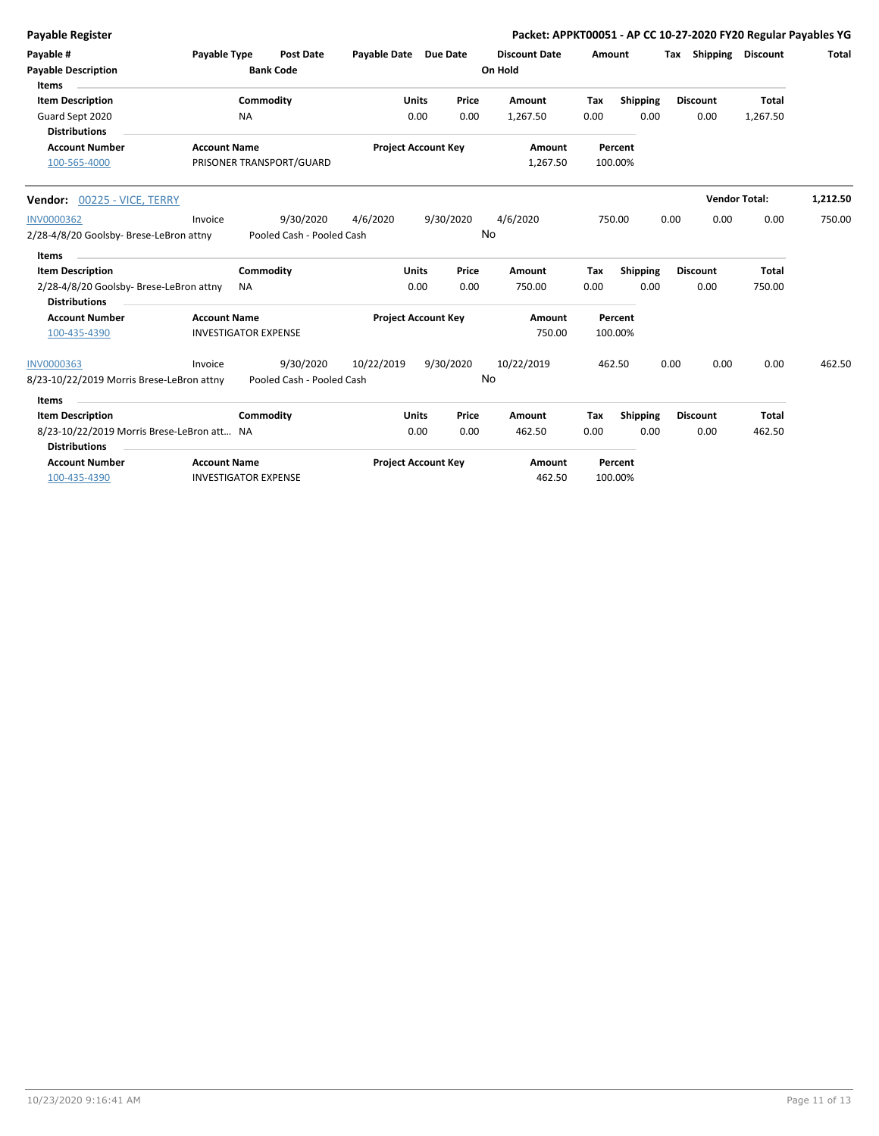| <b>Payable Register</b>                                                                    |                                                    |                        |                                        |                       |                            |                 | Packet: APPKT00051 - AP CC 10-27-2020 FY20 Regular Payables YG |             |                    |      |                              |                          |          |
|--------------------------------------------------------------------------------------------|----------------------------------------------------|------------------------|----------------------------------------|-----------------------|----------------------------|-----------------|----------------------------------------------------------------|-------------|--------------------|------|------------------------------|--------------------------|----------|
| Payable #<br><b>Payable Description</b><br>Items                                           | Payable Type                                       |                        | <b>Post Date</b><br><b>Bank Code</b>   | Payable Date Due Date |                            |                 | <b>Discount Date</b><br>On Hold                                |             | Amount             |      | <b>Tax Shipping Discount</b> |                          | Total    |
| <b>Item Description</b><br>Guard Sept 2020<br><b>Distributions</b>                         |                                                    | Commodity<br><b>NA</b> |                                        |                       | <b>Units</b><br>0.00       | Price<br>0.00   | Amount<br>1,267.50                                             | Tax<br>0.00 | Shipping<br>0.00   |      | <b>Discount</b><br>0.00      | <b>Total</b><br>1,267.50 |          |
| <b>Account Number</b><br>100-565-4000                                                      | <b>Account Name</b>                                |                        | PRISONER TRANSPORT/GUARD               |                       | <b>Project Account Key</b> |                 | Amount<br>1,267.50                                             |             | Percent<br>100.00% |      |                              |                          |          |
| Vendor: 00225 - VICE, TERRY                                                                |                                                    |                        |                                        |                       |                            |                 |                                                                |             |                    |      |                              | <b>Vendor Total:</b>     | 1,212.50 |
| <b>INV0000362</b><br>2/28-4/8/20 Goolsby- Brese-LeBron attny<br>Items                      | Invoice                                            |                        | 9/30/2020<br>Pooled Cash - Pooled Cash | 4/6/2020              |                            | 9/30/2020<br>No | 4/6/2020                                                       |             | 750.00             | 0.00 | 0.00                         | 0.00                     | 750.00   |
| <b>Item Description</b><br>2/28-4/8/20 Goolsby- Brese-LeBron attny<br><b>Distributions</b> |                                                    | Commodity<br><b>NA</b> |                                        |                       | <b>Units</b><br>0.00       | Price<br>0.00   | <b>Amount</b><br>750.00                                        | Tax<br>0.00 | Shipping<br>0.00   |      | <b>Discount</b><br>0.00      | <b>Total</b><br>750.00   |          |
| <b>Account Number</b><br>100-435-4390                                                      | <b>Account Name</b><br><b>INVESTIGATOR EXPENSE</b> |                        |                                        |                       | <b>Project Account Key</b> |                 | Amount<br>750.00                                               |             | Percent<br>100.00% |      |                              |                          |          |
| <b>INV0000363</b><br>8/23-10/22/2019 Morris Brese-LeBron attny                             | Invoice                                            |                        | 9/30/2020<br>Pooled Cash - Pooled Cash | 10/22/2019            |                            | 9/30/2020<br>No | 10/22/2019                                                     |             | 462.50             | 0.00 | 0.00                         | 0.00                     | 462.50   |
| <b>Items</b><br><b>Item Description</b>                                                    |                                                    | Commodity              |                                        |                       | <b>Units</b>               | Price           | Amount                                                         | Tax         | Shipping           |      | <b>Discount</b>              | Total                    |          |
| 8/23-10/22/2019 Morris Brese-LeBron att NA<br><b>Distributions</b>                         |                                                    |                        |                                        |                       | 0.00                       | 0.00            | 462.50                                                         | 0.00        | 0.00               |      | 0.00                         | 462.50                   |          |
| <b>Account Number</b><br>100-435-4390                                                      | <b>Account Name</b><br><b>INVESTIGATOR EXPENSE</b> |                        |                                        |                       | <b>Project Account Key</b> |                 | Amount<br>462.50                                               |             | Percent<br>100.00% |      |                              |                          |          |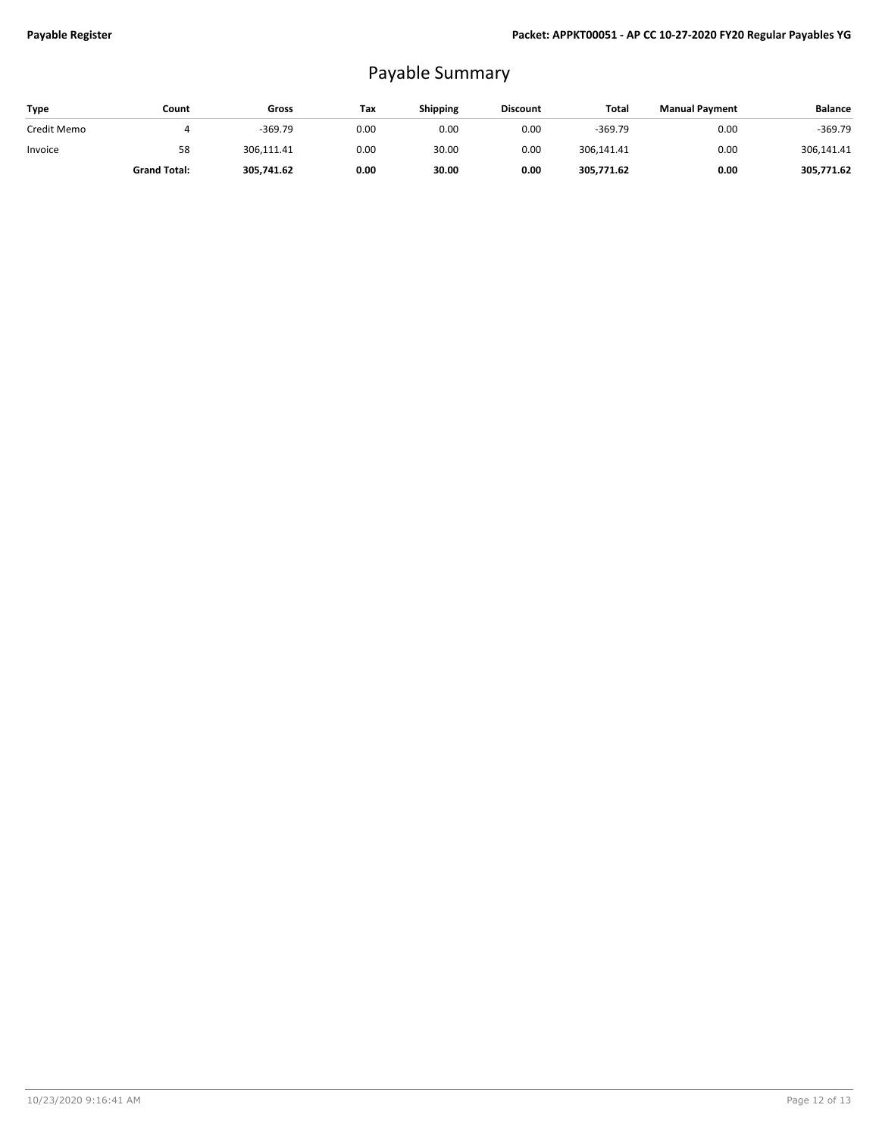## Payable Summary

| Type        | Count               | Gross      | Tax  | <b>Shipping</b> | <b>Discount</b> | Total      | <b>Manual Payment</b> | <b>Balance</b> |
|-------------|---------------------|------------|------|-----------------|-----------------|------------|-----------------------|----------------|
| Credit Memo |                     | $-369.79$  | 0.00 | 0.00            | 0.00            | $-369.79$  | 0.00                  | -369.79        |
| Invoice     | 58                  | 306,111.41 | 0.00 | 30.00           | 0.00            | 306.141.41 | 0.00                  | 306,141.41     |
|             | <b>Grand Total:</b> | 305,741.62 | 0.00 | 30.00           | 0.00            | 305,771.62 | 0.00                  | 305,771.62     |